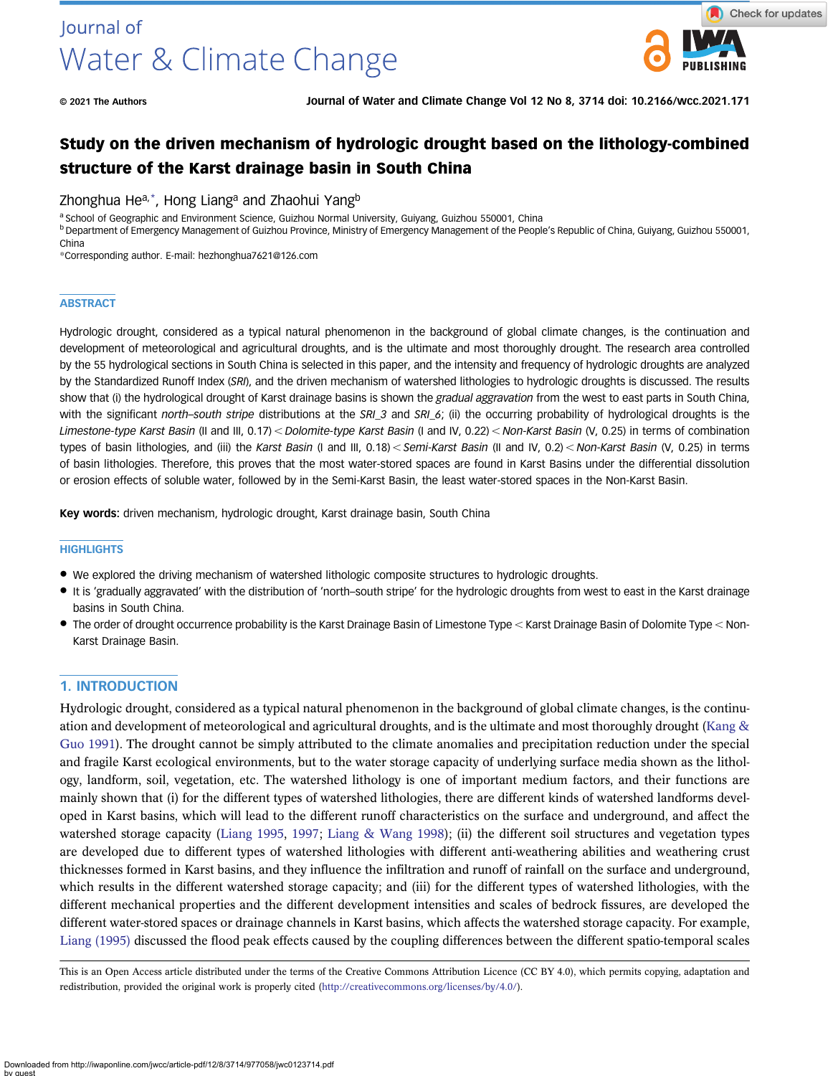

# Study on the driven mechanism of hydrologic drought based on the lithology-combined structure of the Karst drainage basin in South China

# Zhonghua He<sup>a,\*</sup>, Hong Liang<sup>a</sup> and Zhaohui Yang<sup>b</sup>

a School of Geographic and Environment Science, Guizhou Normal University, Guiyang, Guizhou 550001, China

b Department of Emergency Management of Guizhou Province, Ministry of Emergency Management of the People's Republic of China, Guiyang, Guizhou 550001, China

\*Corresponding author. E-mail: [hezhonghua7621@126.com](mailto:hezhonghua7621@126.com)

#### **ABSTRACT**

Hydrologic drought, considered as a typical natural phenomenon in the background of global climate changes, is the continuation and development of meteorological and agricultural droughts, and is the ultimate and most thoroughly drought. The research area controlled by the 55 hydrological sections in South China is selected in this paper, and the intensity and frequency of hydrologic droughts are analyzed by the Standardized Runoff Index (SRI), and the driven mechanism of watershed lithologies to hydrologic droughts is discussed. The results show that (i) the hydrological drought of Karst drainage basins is shown the gradual aggravation from the west to east parts in South China, with the significant north–south stripe distributions at the SRI\_3 and SRI\_6; (ii) the occurring probability of hydrological droughts is the Limestone-type Karst Basin (II and III, 0.17) < Dolomite-type Karst Basin (I and IV, 0.22) < Non-Karst Basin (V, 0.25) in terms of combination types of basin lithologies, and (iii) the Karst Basin (I and III, 0.18) < Semi-Karst Basin (II and IV, 0.2) < Non-Karst Basin (V, 0.25) in terms of basin lithologies. Therefore, this proves that the most water-stored spaces are found in Karst Basins under the differential dissolution or erosion effects of soluble water, followed by in the Semi-Karst Basin, the least water-stored spaces in the Non-Karst Basin.

Key words: driven mechanism, hydrologic drought, Karst drainage basin, South China

#### **HIGHLIGHTS**

- We explored the driving mechanism of watershed lithologic composite structures to hydrologic droughts.
- It is 'gradually aggravated' with the distribution of 'north–south stripe' for the hydrologic droughts from west to east in the Karst drainage basins in South China.
- The order of drought occurrence probability is the Karst Drainage Basin of Limestone Type < Karst Drainage Basin of Dolomite Type < Non-Karst Drainage Basin.

# 1. INTRODUCTION

Hydrologic drought, considered as a typical natural phenomenon in the background of global climate changes, is the continuation and development of meteorological and agricultural droughts, and is the ultimate and most thoroughly drought (Kang  $\&$ [Guo 1991\)](#page-18-0). The drought cannot be simply attributed to the climate anomalies and precipitation reduction under the special and fragile Karst ecological environments, but to the water storage capacity of underlying surface media shown as the lithology, landform, soil, vegetation, etc. The watershed lithology is one of important medium factors, and their functions are mainly shown that (i) for the different types of watershed lithologies, there are different kinds of watershed landforms developed in Karst basins, which will lead to the different runoff characteristics on the surface and underground, and affect the watershed storage capacity [\(Liang 1995,](#page-18-0) [1997](#page-18-0); [Liang & Wang 1998](#page-18-0)); (ii) the different soil structures and vegetation types are developed due to different types of watershed lithologies with different anti-weathering abilities and weathering crust thicknesses formed in Karst basins, and they influence the infiltration and runoff of rainfall on the surface and underground, which results in the different watershed storage capacity; and (iii) for the different types of watershed lithologies, with the different mechanical properties and the different development intensities and scales of bedrock fissures, are developed the different water-stored spaces or drainage channels in Karst basins, which affects the watershed storage capacity. For example, [Liang \(1995\)](#page-18-0) discussed the flood peak effects caused by the coupling differences between the different spatio-temporal scales

This is an Open Access article distributed under the terms of the Creative Commons Attribution Licence (CC BY 4.0), which permits copying, adaptation and redistribution, provided the original work is properly cited [\(http://creativecommons.org/licenses/by/4.0/](http://creativecommons.org/licenses/by/4.0/)).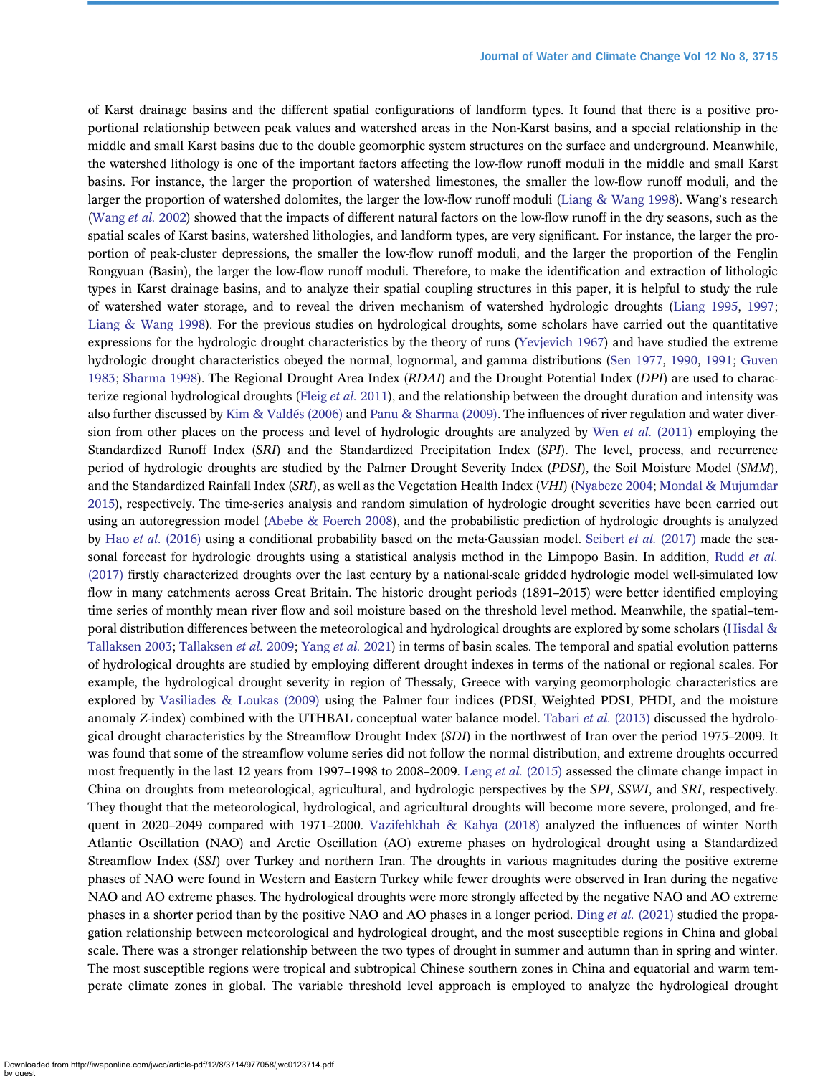of Karst drainage basins and the different spatial configurations of landform types. It found that there is a positive proportional relationship between peak values and watershed areas in the Non-Karst basins, and a special relationship in the middle and small Karst basins due to the double geomorphic system structures on the surface and underground. Meanwhile, the watershed lithology is one of the important factors affecting the low-flow runoff moduli in the middle and small Karst basins. For instance, the larger the proportion of watershed limestones, the smaller the low-flow runoff moduli, and the larger the proportion of watershed dolomites, the larger the low-flow runoff moduli [\(Liang & Wang 1998](#page-18-0)). Wang's research [\(Wang](#page-19-0) et al. 2002) showed that the impacts of different natural factors on the low-flow runoff in the dry seasons, such as the spatial scales of Karst basins, watershed lithologies, and landform types, are very significant. For instance, the larger the proportion of peak-cluster depressions, the smaller the low-flow runoff moduli, and the larger the proportion of the Fenglin Rongyuan (Basin), the larger the low-flow runoff moduli. Therefore, to make the identification and extraction of lithologic types in Karst drainage basins, and to analyze their spatial coupling structures in this paper, it is helpful to study the rule of watershed water storage, and to reveal the driven mechanism of watershed hydrologic droughts ([Liang 1995,](#page-18-0) [1997](#page-18-0); [Liang & Wang 1998](#page-18-0)). For the previous studies on hydrological droughts, some scholars have carried out the quantitative expressions for the hydrologic drought characteristics by the theory of runs [\(Yevjevich 1967\)](#page-19-0) and have studied the extreme hydrologic drought characteristics obeyed the normal, lognormal, and gamma distributions ([Sen 1977](#page-18-0), [1990,](#page-18-0) [1991;](#page-19-0) [Guven](#page-17-0) [1983;](#page-17-0) [Sharma 1998\)](#page-19-0). The Regional Drought Area Index (RDAI) and the Drought Potential Index (DPI) are used to charac-terize regional hydrological droughts [\(Fleig](#page-17-0) et al. 2011), and the relationship between the drought duration and intensity was also further discussed by [Kim & Valdés \(2006\)](#page-18-0) and [Panu & Sharma \(2009\).](#page-18-0) The influences of river regulation and water diver-sion from other places on the process and level of hydrologic droughts are analyzed by Wen et al. [\(2011\)](#page-19-0) employing the Standardized Runoff Index (SRI) and the Standardized Precipitation Index (SPI). The level, process, and recurrence period of hydrologic droughts are studied by the Palmer Drought Severity Index (PDSI), the Soil Moisture Model (SMM), and the Standardized Rainfall Index (SRI), as well as the Vegetation Health Index (VHI) [\(Nyabeze 2004;](#page-18-0) [Mondal & Mujumdar](#page-18-0) [2015\)](#page-18-0), respectively. The time-series analysis and random simulation of hydrologic drought severities have been carried out using an autoregression model ([Abebe & Foerch 2008\)](#page-17-0), and the probabilistic prediction of hydrologic droughts is analyzed by Hao et al. [\(2016\)](#page-17-0) using a conditional probability based on the meta-Gaussian model. [Seibert](#page-18-0) et al. (2017) made the sea-sonal forecast for hydrologic droughts using a statistical analysis method in the Limpopo Basin. In addition, [Rudd](#page-18-0) et al. [\(2017\)](#page-18-0) firstly characterized droughts over the last century by a national-scale gridded hydrologic model well-simulated low flow in many catchments across Great Britain. The historic drought periods (1891–2015) were better identified employing time series of monthly mean river flow and soil moisture based on the threshold level method. Meanwhile, the spatial–temporal distribution differences between the meteorological and hydrological droughts are explored by some scholars ([Hisdal &](#page-18-0) [Tallaksen 2003](#page-18-0); [Tallaksen](#page-19-0) et al. 2009; [Yang](#page-19-0) et al. 2021) in terms of basin scales. The temporal and spatial evolution patterns of hydrological droughts are studied by employing different drought indexes in terms of the national or regional scales. For example, the hydrological drought severity in region of Thessaly, Greece with varying geomorphologic characteristics are explored by [Vasiliades & Loukas \(2009\)](#page-19-0) using the Palmer four indices (PDSI, Weighted PDSI, PHDI, and the moisture anomaly Z-index) combined with the UTHBAL conceptual water balance model. [Tabari](#page-19-0) et al. (2013) discussed the hydrological drought characteristics by the Streamflow Drought Index (SDI) in the northwest of Iran over the period 1975–2009. It was found that some of the streamflow volume series did not follow the normal distribution, and extreme droughts occurred most frequently in the last 12 years from 1997–1998 to 2008–2009. Leng et al. [\(2015\)](#page-18-0) assessed the climate change impact in China on droughts from meteorological, agricultural, and hydrologic perspectives by the SPI, SSWI, and SRI, respectively. They thought that the meteorological, hydrological, and agricultural droughts will become more severe, prolonged, and frequent in 2020–2049 compared with 1971–2000. [Vazifehkhah & Kahya \(2018\)](#page-19-0) analyzed the influences of winter North Atlantic Oscillation (NAO) and Arctic Oscillation (AO) extreme phases on hydrological drought using a Standardized Streamflow Index (SSI) over Turkey and northern Iran. The droughts in various magnitudes during the positive extreme phases of NAO were found in Western and Eastern Turkey while fewer droughts were observed in Iran during the negative NAO and AO extreme phases. The hydrological droughts were more strongly affected by the negative NAO and AO extreme phases in a shorter period than by the positive NAO and AO phases in a longer period. Ding et al. [\(2021\)](#page-17-0) studied the propagation relationship between meteorological and hydrological drought, and the most susceptible regions in China and global scale. There was a stronger relationship between the two types of drought in summer and autumn than in spring and winter. The most susceptible regions were tropical and subtropical Chinese southern zones in China and equatorial and warm temperate climate zones in global. The variable threshold level approach is employed to analyze the hydrological drought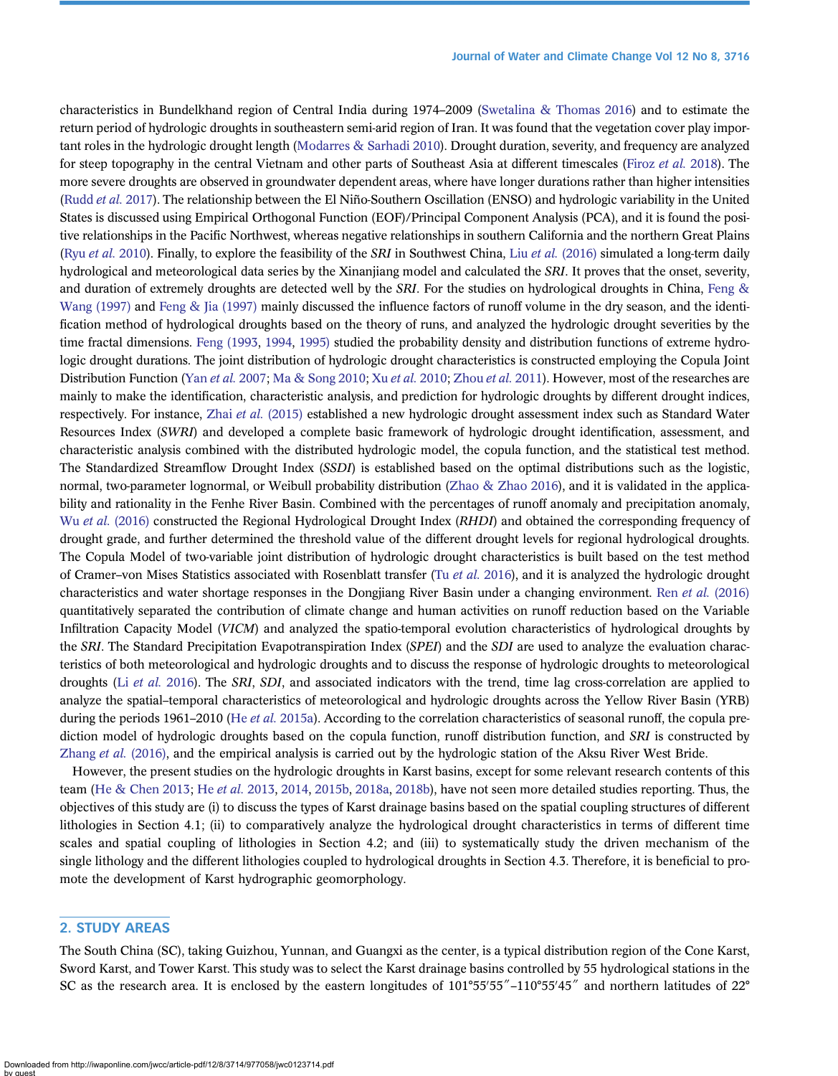characteristics in Bundelkhand region of Central India during 1974–2009 [\(Swetalina & Thomas 2016\)](#page-19-0) and to estimate the return period of hydrologic droughts in southeastern semi-arid region of Iran. It was found that the vegetation cover play important roles in the hydrologic drought length [\(Modarres & Sarhadi 2010](#page-18-0)). Drought duration, severity, and frequency are analyzed for steep topography in the central Vietnam and other parts of Southeast Asia at different timescales ([Firoz](#page-17-0) et al. 2018). The more severe droughts are observed in groundwater dependent areas, where have longer durations rather than higher intensities [\(Rudd](#page-18-0) et al. 2017). The relationship between the El Niño-Southern Oscillation (ENSO) and hydrologic variability in the United States is discussed using Empirical Orthogonal Function (EOF)/Principal Component Analysis (PCA), and it is found the positive relationships in the Pacific Northwest, whereas negative relationships in southern California and the northern Great Plains (Ryu [et al.](#page-18-0) 2010). Finally, to explore the feasibility of the SRI in Southwest China, Liu et al. [\(2016\)](#page-18-0) simulated a long-term daily hydrological and meteorological data series by the Xinanjiang model and calculated the SRI. It proves that the onset, severity, and duration of extremely droughts are detected well by the SRI. For the studies on hydrological droughts in China, [Feng &](#page-17-0) [Wang \(1997\)](#page-17-0) and [Feng & Jia \(1997\)](#page-17-0) mainly discussed the influence factors of runoff volume in the dry season, and the identification method of hydrological droughts based on the theory of runs, and analyzed the hydrologic drought severities by the time fractal dimensions. [Feng \(1993,](#page-17-0) [1994](#page-17-0), [1995\)](#page-17-0) studied the probability density and distribution functions of extreme hydrologic drought durations. The joint distribution of hydrologic drought characteristics is constructed employing the Copula Joint Distribution Function (Yan et al. [2007;](#page-19-0) [Ma & Song 2010;](#page-18-0) Xu et al. [2010](#page-19-0); [Zhou](#page-19-0) et al. 2011). However, most of the researches are mainly to make the identification, characteristic analysis, and prediction for hydrologic droughts by different drought indices, respectively. For instance, Zhai et al. [\(2015\)](#page-19-0) established a new hydrologic drought assessment index such as Standard Water Resources Index (SWRI) and developed a complete basic framework of hydrologic drought identification, assessment, and characteristic analysis combined with the distributed hydrologic model, the copula function, and the statistical test method. The Standardized Streamflow Drought Index (SSDI) is established based on the optimal distributions such as the logistic, normal, two-parameter lognormal, or Weibull probability distribution [\(Zhao & Zhao 2016\)](#page-19-0), and it is validated in the applicability and rationality in the Fenhe River Basin. Combined with the percentages of runoff anomaly and precipitation anomaly, Wu et al. [\(2016\)](#page-19-0) constructed the Regional Hydrological Drought Index (RHDI) and obtained the corresponding frequency of drought grade, and further determined the threshold value of the different drought levels for regional hydrological droughts. The Copula Model of two-variable joint distribution of hydrologic drought characteristics is built based on the test method of Cramer–von Mises Statistics associated with Rosenblatt transfer (Tu [et al.](#page-19-0) 2016), and it is analyzed the hydrologic drought characteristics and water shortage responses in the Dongjiang River Basin under a changing environment. Ren et al. [\(2016\)](#page-18-0) quantitatively separated the contribution of climate change and human activities on runoff reduction based on the Variable Infiltration Capacity Model (VICM) and analyzed the spatio-temporal evolution characteristics of hydrological droughts by the SRI. The Standard Precipitation Evapotranspiration Index (SPEI) and the SDI are used to analyze the evaluation characteristics of both meteorological and hydrologic droughts and to discuss the response of hydrologic droughts to meteorological droughts (Li [et al.](#page-18-0) 2016). The SRI, SDI, and associated indicators with the trend, time lag cross-correlation are applied to analyze the spatial–temporal characteristics of meteorological and hydrologic droughts across the Yellow River Basin (YRB) during the periods 1961–2010 (He et al. [2015a](#page-17-0)). According to the correlation characteristics of seasonal runoff, the copula prediction model of hydrologic droughts based on the copula function, runoff distribution function, and SRI is constructed by [Zhang](#page-19-0) et al. (2016), and the empirical analysis is carried out by the hydrologic station of the Aksu River West Bride.

However, the present studies on the hydrologic droughts in Karst basins, except for some relevant research contents of this team ([He & Chen 2013](#page-17-0); He et al. [2013,](#page-17-0) [2014,](#page-17-0) [2015b,](#page-18-0) [2018a](#page-18-0), [2018b\)](#page-18-0), have not seen more detailed studies reporting. Thus, the objectives of this study are (i) to discuss the types of Karst drainage basins based on the spatial coupling structures of different lithologies in Section 4.1; (ii) to comparatively analyze the hydrological drought characteristics in terms of different time scales and spatial coupling of lithologies in Section 4.2; and (iii) to systematically study the driven mechanism of the single lithology and the different lithologies coupled to hydrological droughts in Section 4.3. Therefore, it is beneficial to promote the development of Karst hydrographic geomorphology.

# 2. STUDY AREAS

The South China (SC), taking Guizhou, Yunnan, and Guangxi as the center, is a typical distribution region of the Cone Karst, Sword Karst, and Tower Karst. This study was to select the Karst drainage basins controlled by 55 hydrological stations in the SC as the research area. It is enclosed by the eastern longitudes of  $101^{\circ}55'55''-110^{\circ}55'45''$  and northern latitudes of  $22^{\circ}$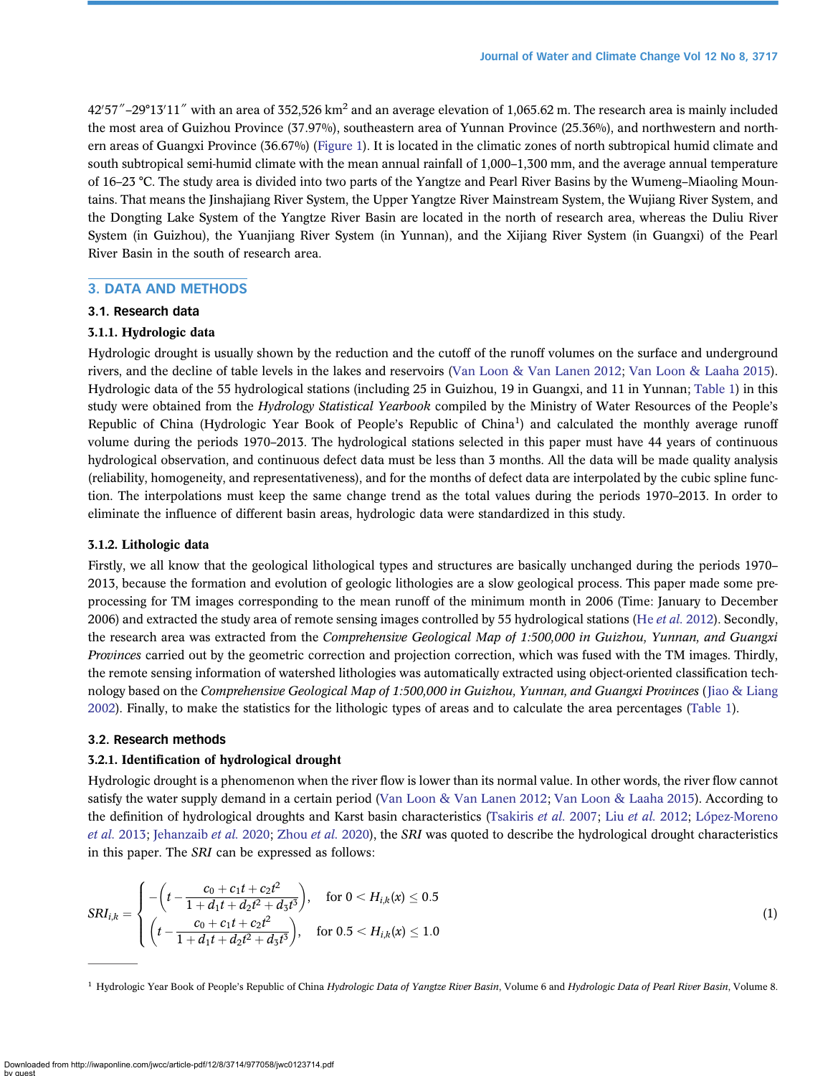42′57″–29°13′11″ with an area of 352,526 km<sup>2</sup> and an average elevation of 1,065.62 m. The research area is mainly included the most area of Guizhou Province (37.97%), southeastern area of Yunnan Province (25.36%), and northwestern and northern areas of Guangxi Province (36.67%) ([Figure 1\)](#page-4-0). It is located in the climatic zones of north subtropical humid climate and south subtropical semi-humid climate with the mean annual rainfall of 1,000–1,300 mm, and the average annual temperature of 16–23 °C. The study area is divided into two parts of the Yangtze and Pearl River Basins by the Wumeng–Miaoling Mountains. That means the Jinshajiang River System, the Upper Yangtze River Mainstream System, the Wujiang River System, and the Dongting Lake System of the Yangtze River Basin are located in the north of research area, whereas the Duliu River System (in Guizhou), the Yuanjiang River System (in Yunnan), and the Xijiang River System (in Guangxi) of the Pearl River Basin in the south of research area.

# 3. DATA AND METHODS

# 3.1. Research data

# 3.1.1. Hydrologic data

Hydrologic drought is usually shown by the reduction and the cutoff of the runoff volumes on the surface and underground rivers, and the decline of table levels in the lakes and reservoirs [\(Van Loon & Van Lanen 2012](#page-19-0); [Van Loon & Laaha 2015\)](#page-19-0). Hydrologic data of the 55 hydrological stations (including 25 in Guizhou, 19 in Guangxi, and 11 in Yunnan; [Table 1](#page-5-0)) in this study were obtained from the Hydrology Statistical Yearbook compiled by the Ministry of Water Resources of the People's Republic of China (Hydrologic Year Book of People's Republic of China<sup>1</sup>) and calculated the monthly average runoff volume during the periods 1970–2013. The hydrological stations selected in this paper must have 44 years of continuous hydrological observation, and continuous defect data must be less than 3 months. All the data will be made quality analysis (reliability, homogeneity, and representativeness), and for the months of defect data are interpolated by the cubic spline function. The interpolations must keep the same change trend as the total values during the periods 1970–2013. In order to eliminate the influence of different basin areas, hydrologic data were standardized in this study.

# 3.1.2. Lithologic data

Firstly, we all know that the geological lithological types and structures are basically unchanged during the periods 1970– 2013, because the formation and evolution of geologic lithologies are a slow geological process. This paper made some preprocessing for TM images corresponding to the mean runoff of the minimum month in 2006 (Time: January to December 2006) and extracted the study area of remote sensing images controlled by 55 hydrological stations (He [et al.](#page-17-0) 2012). Secondly, the research area was extracted from the Comprehensive Geological Map of 1:500,000 in Guizhou, Yunnan, and Guangxi Provinces carried out by the geometric correction and projection correction, which was fused with the TM images. Thirdly, the remote sensing information of watershed lithologies was automatically extracted using object-oriented classification tech-nology based on the Comprehensive Geological Map of 1:500,000 in Guizhou, Yunnan, and Guangxi Provinces ([Jiao & Liang](#page-18-0) [2002\)](#page-18-0). Finally, to make the statistics for the lithologic types of areas and to calculate the area percentages [\(Table 1\)](#page-5-0).

# 3.2. Research methods

# 3.2.1. Identification of hydrological drought

Hydrologic drought is a phenomenon when the river flow is lower than its normal value. In other words, the river flow cannot satisfy the water supply demand in a certain period [\(Van Loon & Van Lanen 2012](#page-19-0); [Van Loon & Laaha 2015](#page-19-0)). According to the definition of hydrological droughts and Karst basin characteristics [\(Tsakiris](#page-19-0) [et al.](#page-18-0) 2007; Liu et al. 2012; [López-Moreno](#page-18-0) et al. [2013](#page-18-0); [Jehanzaib](#page-18-0) et al. 2020; [Zhou](#page-19-0) et al. 2020), the SRI was quoted to describe the hydrological drought characteristics in this paper. The SRI can be expressed as follows:

$$
SRI_{i,k} = \begin{cases}\n-\left(t - \frac{c_0 + c_1 t + c_2 t^2}{1 + d_1 t + d_2 t^2 + d_3 t^3}\right), & \text{for } 0 < H_{i,k}(x) \le 0.5 \\
\left(t - \frac{c_0 + c_1 t + c_2 t^2}{1 + d_1 t + d_2 t^2 + d_3 t^3}\right), & \text{for } 0.5 < H_{i,k}(x) \le 1.0\n\end{cases}
$$
\n(1)

<sup>1</sup> Hydrologic Year Book of People's Republic of China Hydrologic Data of Yangtze River Basin, Volume 6 and Hydrologic Data of Pearl River Basin, Volume 8.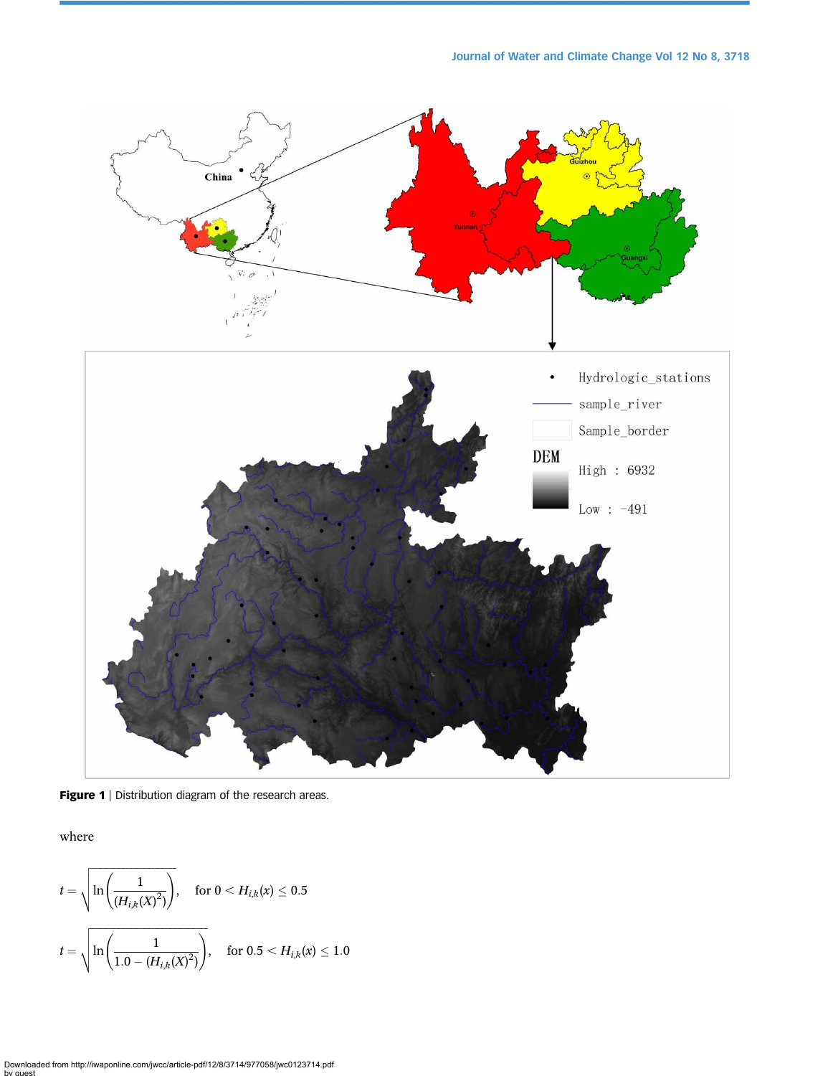<span id="page-4-0"></span>

Figure 1 | Distribution diagram of the research areas.

where

$$
t = \sqrt{\ln\left(\frac{1}{(H_{i,k}(X)^2)}\right)}, \quad \text{for } 0 < H_{i,k}(x) \le 0.5
$$
\n
$$
t = \sqrt{\ln\left(\frac{1}{1.0 - (H_{i,k}(X)^2)}\right)}, \quad \text{for } 0.5 < H_{i,k}(x) \le 1.0
$$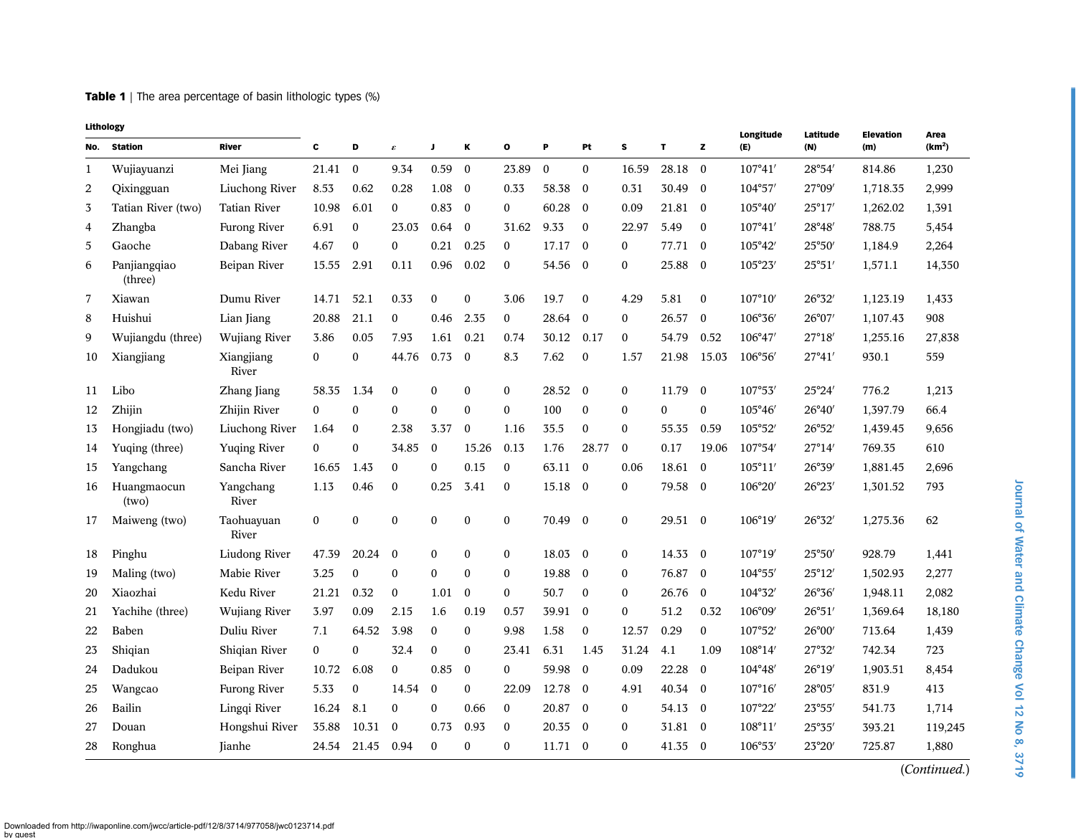<span id="page-5-0"></span>**Table 1** | The area percentage of basin lithologic types (%)

| No.          | Lithology<br><b>Station</b> | River                | c                |                  |                     |                  |                  | $\mathbf{o}$     |                 | Pt           |                  | T            |              | Longitude        | Latitude        | <b>Elevation</b> | Area<br>(km <sup>2</sup> ) |
|--------------|-----------------------------|----------------------|------------------|------------------|---------------------|------------------|------------------|------------------|-----------------|--------------|------------------|--------------|--------------|------------------|-----------------|------------------|----------------------------|
|              |                             |                      |                  | D                | $\pmb{\varepsilon}$ | J                | Κ                |                  | P               |              | s                |              | z            | (E)              | (N)             | (m)              |                            |
| $\mathbf{1}$ | Wujiayuanzi                 | Mei Jiang            | 21.41            | $\mathbf{0}$     | 9.34                | 0.59             | $\mathbf{0}$     | 23.89            | $\mathbf{0}$    | $\mathbf{0}$ | 16.59            | 28.18        | $\mathbf{0}$ | 107°41'          | 28°54'          | 814.86           | 1,230                      |
| 2            | Qixingguan                  | Liuchong River       | 8.53             | 0.62             | 0.28                | 1.08             | $\mathbf{0}$     | 0.33             | 58.38           | $\mathbf{0}$ | 0.31             | 30.49        | $\mathbf{0}$ | 104°57'          | 27°09'          | 1,718.35         | 2,999                      |
| 3            | Tatian River (two)          | Tatian River         | 10.98            | 6.01             | $\bf{0}$            | 0.83             | $\mathbf{0}$     | $\boldsymbol{0}$ | 60.28           | $\mathbf{0}$ | 0.09             | 21.81        | $\bf{0}$     | 105°40'          | $25^{\circ}17'$ | 1,262.02         | 1,391                      |
| 4            | Zhangba                     | Furong River         | 6.91             | $\boldsymbol{0}$ | 23.03               | 0.64             | $\mathbf{0}$     | 31.62            | 9.33            | $\mathbf{0}$ | 22.97            | 5.49         | $\mathbf{0}$ | 107°41'          | 28°48′          | 788.75           | 5,454                      |
| 5            | Gaoche                      | Dabang River         | 4.67             | $\boldsymbol{0}$ | $\mathbf{0}$        | 0.21             | 0.25             | $\mathbf{0}$     | 17.17           | $\mathbf{0}$ | $\mathbf{0}$     | 77.71        | $\bf{0}$     | 105°42'          | 25°50'          | 1,184.9          | 2,264                      |
| 6            | Panjiangqiao<br>(three)     | Beipan River         | 15.55            | 2.91             | 0.11                | 0.96             | 0.02             | $\mathbf{0}$     | 54.56           | $\bf{0}$     | $\mathbf{0}$     | 25.88        | $\bf{0}$     | 105°23'          | $25^{\circ}51'$ | 1,571.1          | 14,350                     |
| 7            | Xiawan                      | Dumu River           | 14.71            | 52.1             | 0.33                | $\bf{0}$         | $\boldsymbol{0}$ | 3.06             | 19.7            | $\bf{0}$     | 4.29             | 5.81         | $\bf{0}$     | $107^{\circ}10'$ | 26°32'          | 1,123.19         | 1,433                      |
| 8            | Huishui                     | Lian Jiang           | 20.88            | 21.1             | $\bf{0}$            | 0.46             | 2.35             | $\mathbf{0}$     | 28.64           | $\mathbf{0}$ | $\mathbf{0}$     | 26.57        | $\bf{0}$     | 106°36'          | $26^{\circ}07'$ | 1,107.43         | 908                        |
| 9            | Wujiangdu (three)           | Wujiang River        | 3.86             | 0.05             | 7.93                | 1.61             | 0.21             | 0.74             | 30.12           | 0.17         | $\boldsymbol{0}$ | 54.79        | 0.52         | 106°47'          | 27°18'          | 1,255.16         | 27,838                     |
| 10           | Xiangjiang                  | Xiangjiang<br>River  | $\boldsymbol{0}$ | $\boldsymbol{0}$ | 44.76               | 0.73             | $\mathbf{0}$     | 8.3              | 7.62            | $\mathbf{0}$ | 1.57             | 21.98        | 15.03        | 106°56′          | 27°41'          | 930.1            | 559                        |
| 11           | Libo                        | Zhang Jiang          | 58.35            | 1.34             | $\boldsymbol{0}$    | $\boldsymbol{0}$ | $\boldsymbol{0}$ | $\bf{0}$         | 28.52           | $\bf{0}$     | $\boldsymbol{0}$ | 11.79        | $\bf{0}$     | 107°53'          | 25°24'          | 776.2            | 1,213                      |
| 12           | Zhijin                      | Zhijin River         | $\mathbf{0}$     | $\boldsymbol{0}$ | $\mathbf{0}$        | $\mathbf{0}$     | $\mathbf{0}$     | 0                | 100             | $\bf{0}$     | $\mathbf{0}$     | $\mathbf{0}$ | $\mathbf{0}$ | 105°46'          | $26^{\circ}40'$ | 1,397.79         | 66.4                       |
| 13           | Hongjiadu (two)             | Liuchong River       | 1.64             | $\boldsymbol{0}$ | 2.38                | 3.37             | $\mathbf{0}$     | 1.16             | 35.5            | $\bf{0}$     | $\boldsymbol{0}$ | 55.35        | 0.59         | 105°52'          | 26°52'          | 1,439.45         | 9,656                      |
| 14           | Yuqing (three)              | Yuqing River         | $\mathbf{0}$     | $\mathbf{0}$     | 34.85               | $\mathbf{0}$     | 15.26            | 0.13             | 1.76            | 28.77        | $\mathbf{0}$     | 0.17         | 19.06        | 107°54'          | 27°14'          | 769.35           | 610                        |
| 15           | Yangchang                   | Sancha River         | 16.65            | 1.43             | $\bf{0}$            | $\mathbf{0}$     | 0.15             | 0                | 63.11           | $\mathbf{0}$ | 0.06             | 18.61        | $\mathbf{0}$ | 105°11'          | 26°39'          | 1,881.45         | 2,696                      |
| 16           | Huangmaocun<br>(two)        | Yangchang<br>River   | 1.13             | 0.46             | $\boldsymbol{0}$    | 0.25             | 3.41             | $\bf{0}$         | 15.18           | $\mathbf{0}$ | $\boldsymbol{0}$ | 79.58        | $\bf{0}$     | 106°20'          | 26°23'          | 1,301.52         | 793                        |
| 17           | Maiweng (two)               | Taohuayuan<br>River  | $\bf{0}$         | 0                | $\boldsymbol{0}$    | $\boldsymbol{0}$ | $\boldsymbol{0}$ | 0                | 70.49           | $\bf{0}$     | $\bf{0}$         | 29.51 0      |              | 106°19'          | 26°32'          | 1,275.36         | 62                         |
| 18           | Pinghu                      | Liudong River        | 47.39            | 20.24            | $\mathbf{0}$        | $\mathbf{0}$     | $\mathbf{0}$     | $\mathbf{0}$     | $18.03 \quad 0$ |              | $\mathbf{0}$     | 14.33 0      |              | 107°19'          | 25°50'          | 928.79           | 1,441                      |
| 19           | Maling (two)                | Mabie River          | 3.25             | $\mathbf{0}$     | $\mathbf{0}$        | $\mathbf{0}$     | $\mathbf{0}$     | $\boldsymbol{0}$ | 19.88           | $\mathbf{0}$ | $\mathbf{0}$     | 76.87        | $\mathbf{0}$ | 104°55'          | $25^{\circ}12'$ | 1,502.93         | 2,277                      |
| 20           | Xiaozhai                    | Kedu River           | 21.21            | 0.32             | $\bf{0}$            | 1.01             | $\mathbf{0}$     | $\mathbf{0}$     | 50.7            | $\bf{0}$     | $\mathbf{0}$     | 26.76        | $\mathbf{0}$ | 104°32'          | 26°36'          | 1,948.11         | 2,082                      |
| 21           | Yachihe (three)             | <b>Wujiang River</b> | 3.97             | 0.09             | 2.15                | 1.6              | 0.19             | 0.57             | 39.91           | $\mathbf{0}$ | $\mathbf{0}$     | 51.2         | 0.32         | 106°09'          | 26°51'          | 1,369.64         | 18,180                     |
| 22           | Baben                       | Duliu River          | 7.1              | 64.52            | 3.98                | $\mathbf{0}$     | $\boldsymbol{0}$ | 9.98             | 1.58            | $\mathbf{0}$ | 12.57            | 0.29         | $\mathbf{0}$ | 107°52'          | $26^{\circ}00'$ | 713.64           | 1,439                      |
| 23           | Shiqian                     | Shigian River        | $\mathbf{0}$     | $\mathbf{0}$     | 32.4                | $\Omega$         | $\mathbf{0}$     | 23.41            | 6.31            | 1.45         | 31.24            | 4.1          | 1.09         | 108°14'          | 27°32′          | 742.34           | 723                        |
| 24           | Dadukou                     | Beipan River         | 10.72            | 6.08             | $\mathbf{0}$        | 0.85             | $\mathbf{0}$     | $\Omega$         | 59.98           | $\mathbf{0}$ | 0.09             | 22.28        | $\mathbf{0}$ | 104°48'          | 26°19'          | 1,903.51         | 8,454                      |
| 25           | Wangcao                     | Furong River         | 5.33             | $\boldsymbol{0}$ | 14.54               | $\mathbf{0}$     | $\boldsymbol{0}$ | 22.09            | 12.78           | $\bf{0}$     | 4.91             | 40.34        | $\mathbf{0}$ | $107^{\circ}16'$ | 28°05'          | 831.9            | 413                        |
| 26           | Bailin                      | Lingqi River         | 16.24            | 8.1              | $\bf{0}$            | $\mathbf{0}$     | 0.66             | $\boldsymbol{0}$ | 20.87           | $\bf{0}$     | $\bf{0}$         | 54.13        | $\bf{0}$     | 107°22'          | $23^{\circ}55'$ | 541.73           | 1,714                      |
| 27           | Douan                       | Hongshui River       | 35.88            | 10.31            | $\bf{0}$            | 0.73             | 0.93             | $\boldsymbol{0}$ | 20.35           | $\bf{0}$     | $\bf{0}$         | 31.81 0      |              | 108°11'          | 25°35'          | 393.21           | 119,245                    |
| 28           | Ronghua                     | Jianhe               | 24.54            | 21.45            | 0.94                | $\bf{0}$         | 0                | 0                | $11.71$ 0       |              | $\boldsymbol{0}$ | 41.35        | $\bf{0}$     | 106°53'          | 23°20'          | 725.87           | 1,880                      |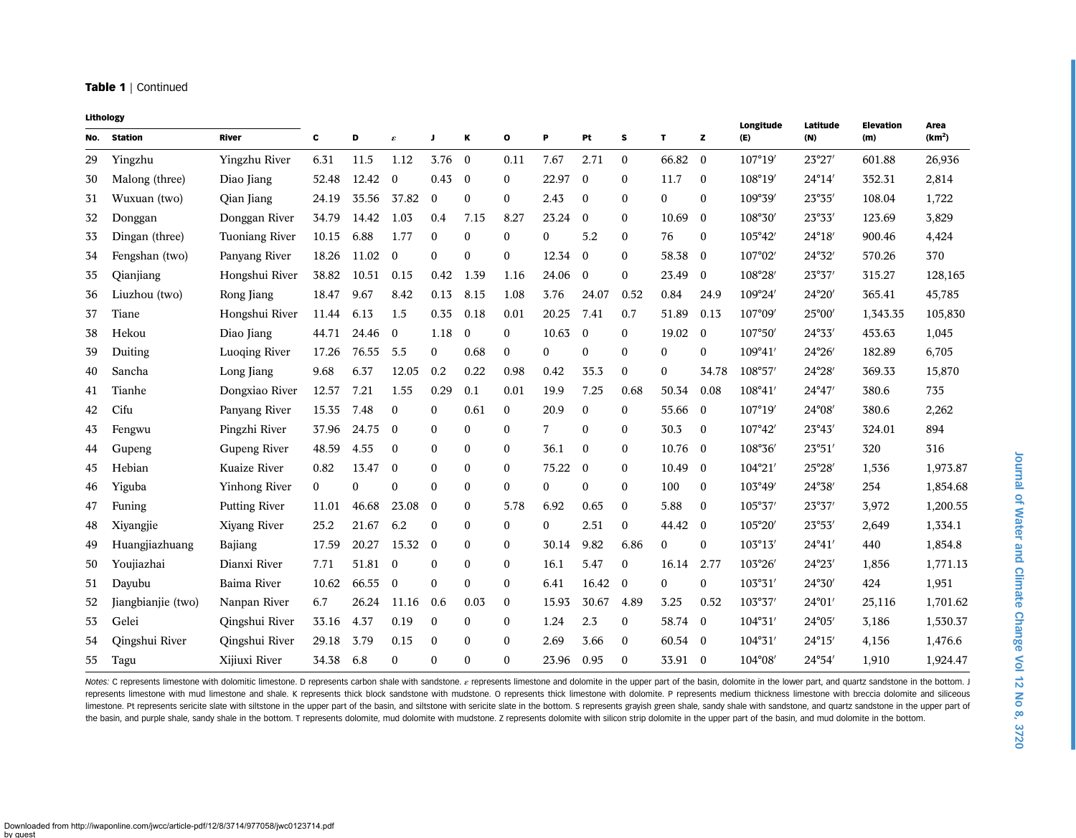#### Table 1 | Continued

| Lithology |                    |                       |          |       |                     |                  |                  |                  |                |                  |              |              |                  | Longitude        | Latitude        | <b>Elevation</b> | Area               |
|-----------|--------------------|-----------------------|----------|-------|---------------------|------------------|------------------|------------------|----------------|------------------|--------------|--------------|------------------|------------------|-----------------|------------------|--------------------|
| No.       | <b>Station</b>     | <b>River</b>          | c        | D     | $\pmb{\varepsilon}$ | J                | К                | o                | P              | Pt               | s            | T            | z                | (E)              | (N)             | (m)              | (km <sup>2</sup> ) |
| 29        | Yingzhu            | Yingzhu River         | 6.31     | 11.5  | 1.12                | 3.76             | $\overline{0}$   | 0.11             | 7.67           | 2.71             | $\Omega$     | 66.82        | $\theta$         | 107°19'          | 23°27'          | 601.88           | 26,936             |
| 30        | Malong (three)     | Diao Jiang            | 52.48    | 12.42 | $\mathbf{0}$        | 0.43             | $\mathbf{0}$     | $\Omega$         | 22.97          | $\mathbf{0}$     | $\Omega$     | 11.7         | $\mathbf{0}$     | 108°19'          | 24°14'          | 352.31           | 2,814              |
| 31        | Wuxuan (two)       | Qian Jiang            | 24.19    | 35.56 | 37.82               | $\boldsymbol{0}$ | $\boldsymbol{0}$ | $\mathbf{0}$     | 2.43           | $\bf{0}$         | $\mathbf{0}$ | $\mathbf{0}$ | $\bf{0}$         | 109°39'          | $23^{\circ}35'$ | 108.04           | 1,722              |
| 32        | Donggan            | Donggan River         | 34.79    | 14.42 | 1.03                | 0.4              | 7.15             | 8.27             | 23.24          | $\bf{0}$         | $\mathbf{0}$ | 10.69        | $\mathbf{0}$     | 108°30'          | 23°33'          | 123.69           | 3,829              |
| 33        | Dingan (three)     | <b>Tuoniang River</b> | 10.15    | 6.88  | 1.77                | $\mathbf{0}$     | $\mathbf{0}$     | $\Omega$         | $\Omega$       | 5.2              | $\Omega$     | 76           | $\mathbf{0}$     | 105°42'          | 24°18′          | 900.46           | 4,424              |
| 34        | Fengshan (two)     | Panyang River         | 18.26    | 11.02 | $\Omega$            | $\theta$         | $\boldsymbol{0}$ | $\Omega$         | 12.34          | $\mathbf{0}$     | $\Omega$     | 58.38        | $\mathbf{0}$     | 107°02'          | 24°32'          | 570.26           | 370                |
| 35        | Qianjiang          | Hongshui River        | 38.82    | 10.51 | 0.15                | 0.42             | 1.39             | 1.16             | 24.06          | $\bf{0}$         | $\mathbf{0}$ | 23.49        | $\boldsymbol{0}$ | 108°28'          | 23°37'          | 315.27           | 128,165            |
| 36        | Liuzhou (two)      | Rong Jiang            | 18.47    | 9.67  | 8.42                | 0.13             | 8.15             | 1.08             | 3.76           | 24.07            | 0.52         | 0.84         | 24.9             | 109°24'          | 24°20′          | 365.41           | 45,785             |
| 37        | Tiane              | Hongshui River        | 11.44    | 6.13  | 1.5                 | 0.35             | 0.18             | 0.01             | 20.25          | 7.41             | 0.7          | 51.89        | 0.13             | 107°09'          | 25°00'          | 1,343.35         | 105,830            |
| 38        | Hekou              | Diao Jiang            | 44.71    | 24.46 | $\mathbf{0}$        | 1.18             | $\bf{0}$         | $\mathbf{0}$     | 10.63          | $\mathbf{0}$     | $\mathbf{0}$ | 19.02        | $\bf{0}$         | 107°50'          | 24°33'          | 453.63           | 1,045              |
| 39        | Duiting            | Luoging River         | 17.26    | 76.55 | 5.5                 | $\mathbf{0}$     | 0.68             | $\mathbf{0}$     | $\mathbf{0}$   | $\mathbf{0}$     | $\mathbf{0}$ | $\Omega$     | $\mathbf{0}$     | 109°41'          | 24°26′          | 182.89           | 6,705              |
| 40        | Sancha             | Long Jiang            | 9.68     | 6.37  | 12.05               | 0.2              | 0.22             | 0.98             | 0.42           | 35.3             | $\mathbf{0}$ | $\mathbf{0}$ | 34.78            | 108°57'          | 24°28'          | 369.33           | 15,870             |
| 41        | Tianhe             | Dongxiao River        | 12.57    | 7.21  | 1.55                | 0.29             | 0.1              | 0.01             | 19.9           | 7.25             | 0.68         | 50.34        | 0.08             | 108°41′          | $24^{\circ}47'$ | 380.6            | 735                |
| 42        | Cifu               | Panyang River         | 15.35    | 7.48  | $\boldsymbol{0}$    | $\mathbf{0}$     | 0.61             | $\mathbf{0}$     | 20.9           | $\bf{0}$         | $\mathbf{0}$ | 55.66        | $\mathbf{0}$     | 107°19'          | $24^{\circ}08'$ | 380.6            | 2,262              |
| 43        | Fengwu             | Pingzhi River         | 37.96    | 24.75 | $\Omega$            | $\theta$         | $\mathbf{0}$     | $\Omega$         | $\overline{7}$ | $\theta$         | $\Omega$     | 30.3         | $\theta$         | 107°42'          | $23^{\circ}43'$ | 324.01           | 894                |
| 44        | Gupeng             | Gupeng River          | 48.59    | 4.55  | $\mathbf{0}$        | $\Omega$         | $\Omega$         | $\Omega$         | 36.1           | $\theta$         | $\Omega$     | 10.76        | $\mathbf{0}$     | 108°36'          | $23^{\circ}51'$ | 320              | 316                |
| 45        | Hebian             | Kuaize River          | 0.82     | 13.47 | $\bf{0}$            | $\mathbf{0}$     | $\mathbf{0}$     | $\mathbf{0}$     | 75.22          | $\mathbf{0}$     | $\mathbf{0}$ | 10.49        | $\mathbf{0}$     | 104°21′          | $25^{\circ}28'$ | 1,536            | 1,973.87           |
| 46        | Yiguba             | Yinhong River         | $\bf{0}$ | 0     | $\mathbf{0}$        | $\mathbf{0}$     | $\mathbf{0}$     | $\mathbf{0}$     | $\mathbf{0}$   | $\boldsymbol{0}$ | $\mathbf{0}$ | 100          | $\bf{0}$         | 103°49'          | 24°38'          | 254              | 1,854.68           |
| 47        | Funing             | <b>Putting River</b>  | 11.01    | 46.68 | 23.08               | $\theta$         | $\mathbf{0}$     | 5.78             | 6.92           | 0.65             | $\Omega$     | 5.88         | $\bf{0}$         | 105°37'          | 23°37'          | 3,972            | 1,200.55           |
| 48        | Xiyangjie          | Xiyang River          | 25.2     | 21.67 | 6.2                 | $\mathbf{0}$     | $\mathbf{0}$     | $\Omega$         | $\Omega$       | 2.51             | $\Omega$     | 44.42        | $\mathbf{0}$     | 105°20'          | $23^{\circ}53'$ | 2,649            | 1,334.1            |
| 49        | Huangjiazhuang     | Bajiang               | 17.59    | 20.27 | 15.32               | $\theta$         | $\mathbf{0}$     | $\Omega$         | 30.14          | 9.82             | 6.86         | $\Omega$     | $\mathbf{0}$     | $103^{\circ}13'$ | $24^{\circ}41'$ | 440              | 1,854.8            |
| 50        | Youjiazhai         | Dianxi River          | 7.71     | 51.81 | $\overline{0}$      | $\Omega$         | $\mathbf{0}$     | $\Omega$         | 16.1           | 5.47             | $\mathbf{0}$ | 16.14        | 2.77             | 103°26'          | 24°23′          | 1.856            | 1,771.13           |
| 51        | Dayubu             | Baima River           | 10.62    | 66.55 | $\mathbf{0}$        | $\mathbf{0}$     | $\boldsymbol{0}$ | $\mathbf{0}$     | 6.41           | 16.42            | $\mathbf{0}$ | $\mathbf{0}$ | $\boldsymbol{0}$ | 103°31'          | 24°30'          | 424              | 1,951              |
| 52        | Jiangbianjie (two) | Nanpan River          | 6.7      | 26.24 | 11.16               | 0.6              | 0.03             | $\mathbf{0}$     | 15.93          | 30.67            | 4.89         | 3.25         | 0.52             | 103°37'          | $24^{\circ}01'$ | 25,116           | 1,701.62           |
| 53        | Gelei              | Qingshui River        | 33.16    | 4.37  | 0.19                | $\mathbf{0}$     | $\mathbf{0}$     | $\boldsymbol{0}$ | 1.24           | 2.3              | $\mathbf{0}$ | 58.74        | $\mathbf{0}$     | 104°31'          | 24°05'          | 3,186            | 1,530.37           |
| 54        | Qingshui River     | Qingshui River        | 29.18    | 3.79  | 0.15                | $\mathbf{0}$     | $\Omega$         | $\Omega$         | 2.69           | 3.66             | $\Omega$     | 60.54        | $\mathbf{0}$     | 104°31'          | $24^{\circ}15'$ | 4,156            | 1,476.6            |
| 55        | Tagu               | Xijiuxi River         | 34.38    | 6.8   | $\mathbf{0}$        | $\mathbf{0}$     | $\boldsymbol{0}$ | $\theta$         | 23.96          | 0.95             | $\Omega$     | 33.91        | $\mathbf{0}$     | 104°08'          | 24°54′          | 1,910            | 1,924.47           |

Notes: C represents limestone with dolomitic limestone. D represents carbon shale with sandstone. e represents limestone and dolomite in the upper part of the basin, dolomite in the lower part, and quartz sandstone in the represents limestone with mud limestone and shale. K represents thick block sandstone with nudstone. O represents thick limestone with dolomite. P represents medium thickness limestone with breccia dolomite and siliceous limestone. Pt represents sericite slate with siltstone in the upper part of the basin, and siltstone with sericite slate in the bottom. S represents grayish green shale, sandy shale with sandstone, and quartz sandstone in the basin, and purple shale, sandy shale in the bottom. T represents dolomite, mud dolomite with mudstone. Z represents dolomite with silicon strip dolomite in the upper part of the basin, and mud dolomite in the bottom.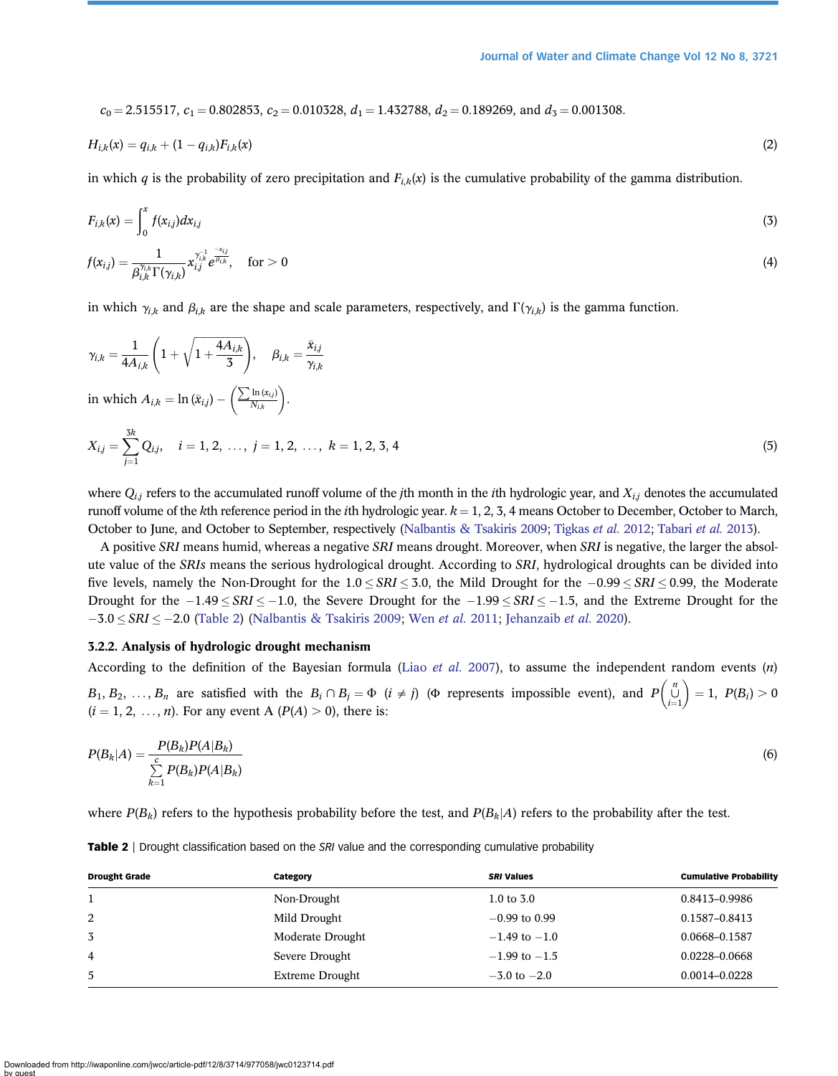$c_0 = 2.515517$ ,  $c_1 = 0.802853$ ,  $c_2 = 0.010328$ ,  $d_1 = 1.432788$ ,  $d_2 = 0.189269$ , and  $d_3 = 0.001308$ .

$$
H_{i,k}(x) = q_{i,k} + (1 - q_{i,k})F_{i,k}(x)
$$
\n(2)

in which q is the probability of zero precipitation and  $F_{i,k}(x)$  is the cumulative probability of the gamma distribution.

$$
F_{i,k}(x) = \int_0^x f(x_{i,j}) dx_{i,j} \tag{3}
$$

$$
f(x_{i,j}) = \frac{1}{\beta_{i,k}^{\gamma_{i,k}} \Gamma(\gamma_{i,k})} x_{i,j}^{\gamma_{i,k}^{-1}} e^{\frac{-x_{i,j}}{\beta_{i,k}}}, \quad \text{for} > 0
$$
\n
$$
\tag{4}
$$

in which  $\gamma_{i,k}$  and  $\beta_{i,k}$  are the shape and scale parameters, respectively, and  $\Gamma(\gamma_{i,k})$  is the gamma function.

$$
\gamma_{i,k} = \frac{1}{4A_{i,k}} \left( 1 + \sqrt{1 + \frac{4A_{i,k}}{3}} \right), \quad \beta_{i,k} = \frac{\bar{x}_{i,j}}{\gamma_{i,k}}
$$
  
in which  $A_{i,k} = \ln(\bar{x}_{i,j}) - \left( \frac{\sum \ln(x_{i,j})}{N_{i,k}} \right).$   

$$
X_{i,j} = \sum_{j=1}^{3k} Q_{i,j}, \quad i = 1, 2, \dots, j = 1, 2, \dots, k = 1, 2, 3, 4
$$
 (5)

where  $Q_{i,j}$  refers to the accumulated runoff volume of the jth month in the *i*th hydrologic year, and  $X_{i,j}$  denotes the accumulated runoff volume of the kth reference period in the *i*th hydrologic year.  $k = 1, 2, 3, 4$  means October to December, October to March, October to June, and October to September, respectively ([Nalbantis & Tsakiris 2009;](#page-18-0) [Tigkas](#page-19-0) et al. 2012; [Tabari](#page-19-0) et al. 2013).

A positive SRI means humid, whereas a negative SRI means drought. Moreover, when SRI is negative, the larger the absolute value of the SRIs means the serious hydrological drought. According to SRI, hydrological droughts can be divided into five levels, namely the Non-Drought for the  $1.0 \leq SRI \leq 3.0$ , the Mild Drought for the  $-0.99 \leq SRI \leq 0.99$ , the Moderate Drought for the  $-1.49 \leq SNI \leq -1.0$ , the Severe Drought for the  $-1.99 \leq SNI \leq -1.5$ , and the Extreme Drought for the  $-3.0 \leq SRI \leq -2.0$  (Table 2) ([Nalbantis & Tsakiris 2009;](#page-18-0) Wen *[et al.](#page-19-0)* 2011; [Jehanzaib](#page-18-0) *et al.* 2020).

# 3.2.2. Analysis of hydrologic drought mechanism

According to the definition of the Bayesian formula (Liao [et al.](#page-18-0) 2007), to assume the independent random events  $(n)$  $B_1, B_2, \ldots, B_n$  are satisfied with the  $B_i \cap B_j = \Phi$   $(i \neq j)$  ( $\Phi$  represents impossible event), and  $P\left(\bigcup_{i=1}^n A_i \cap B_i \geq 0\right)$  there is  $\begin{pmatrix} n \cup \ i=1 \end{pmatrix} = 1, \ P(B_i) > 0$  $(i = 1, 2, \ldots, n)$ . For any event A  $(P(A) > 0)$ , there is:

$$
P(B_k|A) = \frac{P(B_k)P(A|B_k)}{\sum\limits_{k=1}^{c} P(B_k)P(A|B_k)}
$$
(6)

where  $P(B_k)$  refers to the hypothesis probability before the test, and  $P(B_k|A)$  refers to the probability after the test.

| <b>Drought Grade</b> | Category               | <b>SRI Values</b> | <b>Cumulative Probability</b> |
|----------------------|------------------------|-------------------|-------------------------------|
|                      | Non-Drought            | 1.0 to $3.0$      | 0.8413-0.9986                 |
| 2                    | Mild Drought           | $-0.99$ to 0.99   | 0.1587-0.8413                 |
| 3                    | Moderate Drought       | $-1.49$ to $-1.0$ | 0.0668-0.1587                 |
| $\overline{4}$       | Severe Drought         | $-1.99$ to $-1.5$ | 0.0228-0.0668                 |
| 5                    | <b>Extreme Drought</b> | $-3.0$ to $-2.0$  | $0.0014 - 0.0228$             |

Table 2 | Drought classification based on the SRI value and the corresponding cumulative probability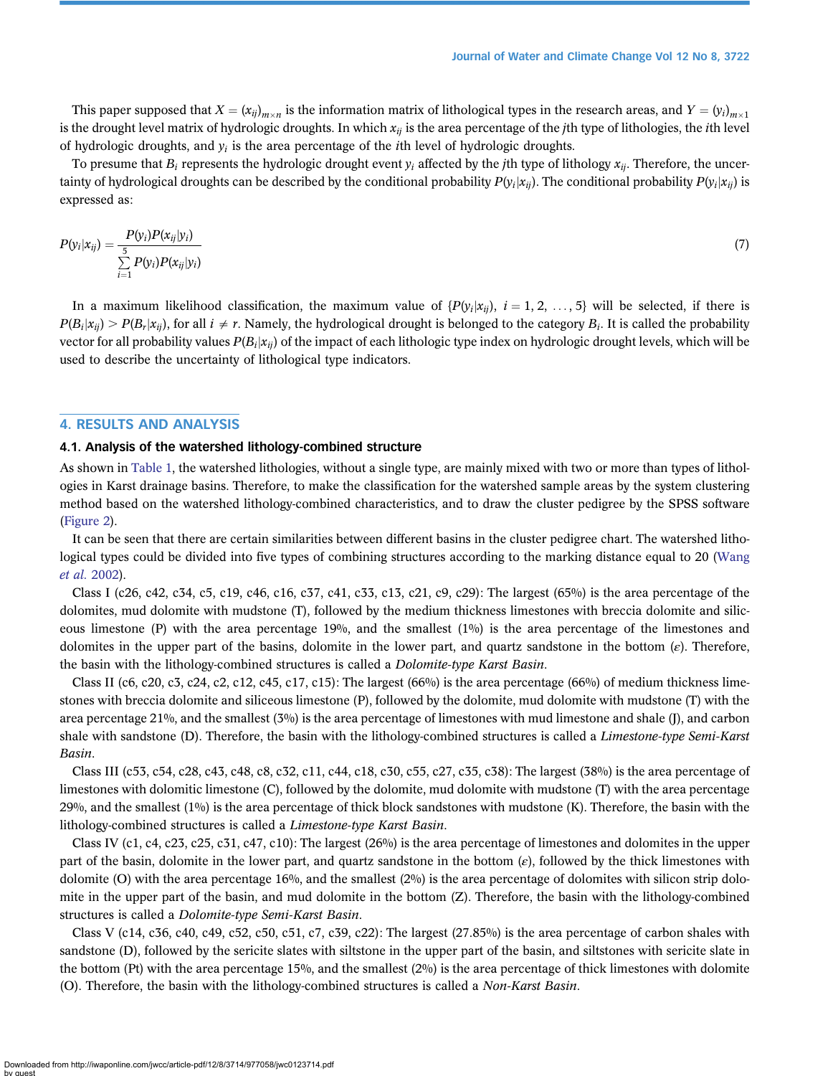This paper supposed that  $X = (x_{ij})_{m \times n}$  is the information matrix of lithological types in the research areas, and  $Y = (y_i)_{m \times 1}$ is the drought level matrix of hydrologic droughts. In which  $x_{ij}$  is the area percentage of the *j*th type of lithologies, the *i*th level of hydrologic droughts, and  $y_i$  is the area percentage of the *i*th level of hydrologic droughts.

To presume that  $B_i$  represents the hydrologic drought event  $y_i$  affected by the *j*th type of lithology  $x_{ii}$ . Therefore, the uncertainty of hydrological droughts can be described by the conditional probability  $P(y_i|x_{ii})$ . The conditional probability  $P(y_i|x_{ii})$  is expressed as:

$$
P(y_i|x_{ij}) = \frac{P(y_i)P(x_{ij}|y_i)}{\sum\limits_{i=1}^{5} P(y_i)P(x_{ij}|y_i)}
$$
(7)

In a maximum likelihood classification, the maximum value of  $\{P(y_i|x_{ii})$ ,  $i = 1, 2, ..., 5\}$  will be selected, if there is  $P(B_i|x_{ii}) > P(B_i|x_{ii})$ , for all  $i \neq r$ . Namely, the hydrological drought is belonged to the category  $B_i$ . It is called the probability vector for all probability values  $P(B_i|x_{ii})$  of the impact of each lithologic type index on hydrologic drought levels, which will be used to describe the uncertainty of lithological type indicators.

# 4. RESULTS AND ANALYSIS

### 4.1. Analysis of the watershed lithology-combined structure

As shown in [Table 1](#page-5-0), the watershed lithologies, without a single type, are mainly mixed with two or more than types of lithologies in Karst drainage basins. Therefore, to make the classification for the watershed sample areas by the system clustering method based on the watershed lithology-combined characteristics, and to draw the cluster pedigree by the SPSS software ([Figure 2](#page-9-0)).

It can be seen that there are certain similarities between different basins in the cluster pedigree chart. The watershed lithological types could be divided into five types of combining structures according to the marking distance equal to 20 ([Wang](#page-19-0) [et al.](#page-19-0) 2002).

Class I (c26, c42, c34, c5, c19, c46, c16, c37, c41, c33, c13, c21, c9, c29): The largest (65%) is the area percentage of the dolomites, mud dolomite with mudstone (T), followed by the medium thickness limestones with breccia dolomite and siliceous limestone (P) with the area percentage 19%, and the smallest (1%) is the area percentage of the limestones and dolomites in the upper part of the basins, dolomite in the lower part, and quartz sandstone in the bottom  $(\varepsilon)$ . Therefore, the basin with the lithology-combined structures is called a Dolomite-type Karst Basin.

Class II (c6, c20, c3, c24, c2, c12, c45, c17, c15): The largest  $(66%)$  is the area percentage  $(66%)$  of medium thickness limestones with breccia dolomite and siliceous limestone (P), followed by the dolomite, mud dolomite with mudstone (T) with the area percentage 21%, and the smallest (3%) is the area percentage of limestones with mud limestone and shale (J), and carbon shale with sandstone (D). Therefore, the basin with the lithology-combined structures is called a Limestone-type Semi-Karst Basin.

Class III (c53, c54, c28, c43, c48, c8, c32, c11, c44, c18, c30, c55, c27, c35, c38): The largest (38%) is the area percentage of limestones with dolomitic limestone (C), followed by the dolomite, mud dolomite with mudstone (T) with the area percentage 29%, and the smallest  $(1\%)$  is the area percentage of thick block sandstones with mudstone (K). Therefore, the basin with the lithology-combined structures is called a Limestone-type Karst Basin.

Class IV (c1, c4, c23, c25, c31, c47, c10): The largest (26%) is the area percentage of limestones and dolomites in the upper part of the basin, dolomite in the lower part, and quartz sandstone in the bottom  $(\varepsilon)$ , followed by the thick limestones with dolomite (O) with the area percentage 16%, and the smallest  $(2%)$  is the area percentage of dolomites with silicon strip dolomite in the upper part of the basin, and mud dolomite in the bottom (Z). Therefore, the basin with the lithology-combined structures is called a Dolomite-type Semi-Karst Basin.

Class V (c14, c36, c40, c49, c52, c50, c51, c7, c39, c22): The largest  $(27.85\%)$  is the area percentage of carbon shales with sandstone (D), followed by the sericite slates with siltstone in the upper part of the basin, and siltstones with sericite slate in the bottom (Pt) with the area percentage 15%, and the smallest (2%) is the area percentage of thick limestones with dolomite (O). Therefore, the basin with the lithology-combined structures is called a Non-Karst Basin.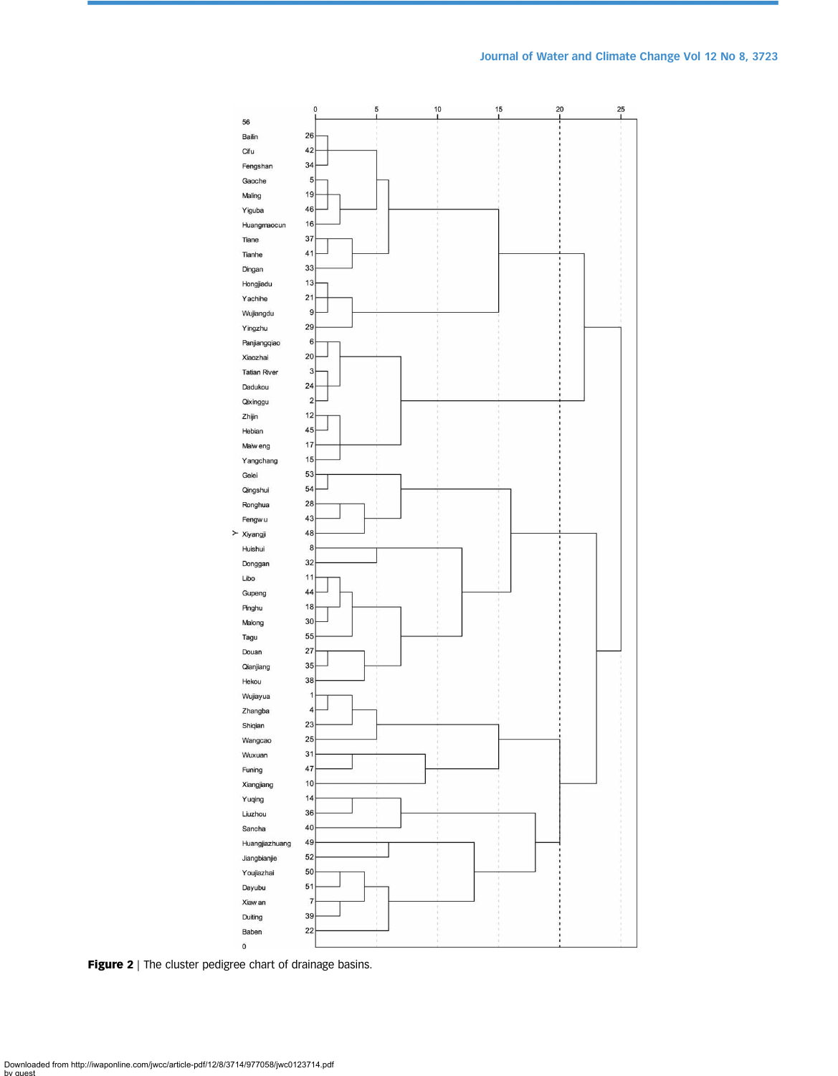<span id="page-9-0"></span>

Figure 2 | The cluster pedigree chart of drainage basins.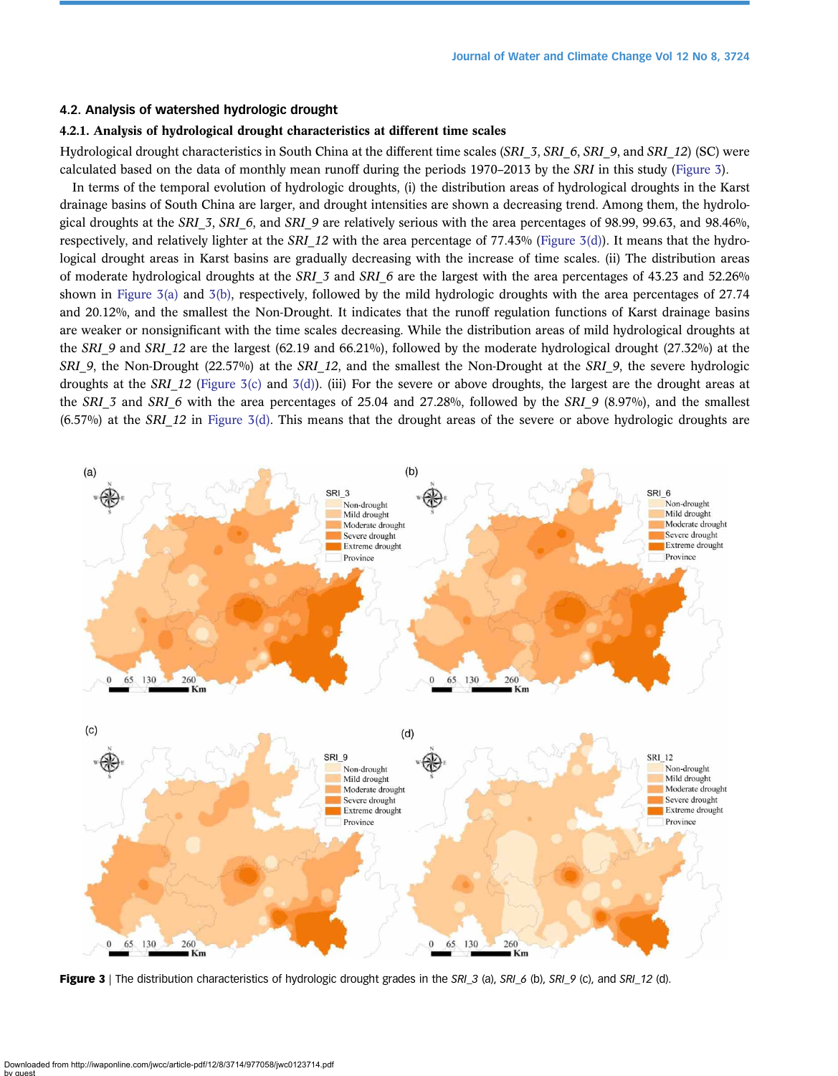# <span id="page-10-0"></span>4.2. Analysis of watershed hydrologic drought

# 4.2.1. Analysis of hydrological drought characteristics at different time scales

Hydrological drought characteristics in South China at the different time scales (SRI\_3, SRI\_6, SRI\_9, and SRI\_12) (SC) were calculated based on the data of monthly mean runoff during the periods 1970–2013 by the SRI in this study (Figure 3).

In terms of the temporal evolution of hydrologic droughts, (i) the distribution areas of hydrological droughts in the Karst drainage basins of South China are larger, and drought intensities are shown a decreasing trend. Among them, the hydrological droughts at the SRI  $3$ , SRI  $6$ , and SRI  $9$  are relatively serious with the area percentages of 98.99, 99.63, and 98.46%, respectively, and relatively lighter at the SRI\_12 with the area percentage of 77.43% (Figure 3(d)). It means that the hydrological drought areas in Karst basins are gradually decreasing with the increase of time scales. (ii) The distribution areas of moderate hydrological droughts at the SRI 3 and SRI 6 are the largest with the area percentages of 43.23 and 52.26% shown in Figure 3(a) and 3(b), respectively, followed by the mild hydrologic droughts with the area percentages of 27.74 and 20.12%, and the smallest the Non-Drought. It indicates that the runoff regulation functions of Karst drainage basins are weaker or nonsignificant with the time scales decreasing. While the distribution areas of mild hydrological droughts at the SRI\_9 and SRI\_12 are the largest (62.19 and 66.21%), followed by the moderate hydrological drought (27.32%) at the SRI 9, the Non-Drought (22.57%) at the SRI 12, and the smallest the Non-Drought at the SRI 9, the severe hydrologic droughts at the SRI 12 (Figure 3(c) and 3(d)). (iii) For the severe or above droughts, the largest are the drought areas at the SRI 3 and SRI 6 with the area percentages of 25.04 and 27.28%, followed by the SRI 9 (8.97%), and the smallest  $(6.57\%)$  at the SRI 12 in Figure 3(d). This means that the drought areas of the severe or above hydrologic droughts are



Figure 3 | The distribution characteristics of hydrologic drought grades in the SRI\_3 (a), SRI\_6 (b), SRI\_9 (c), and SRI\_12 (d).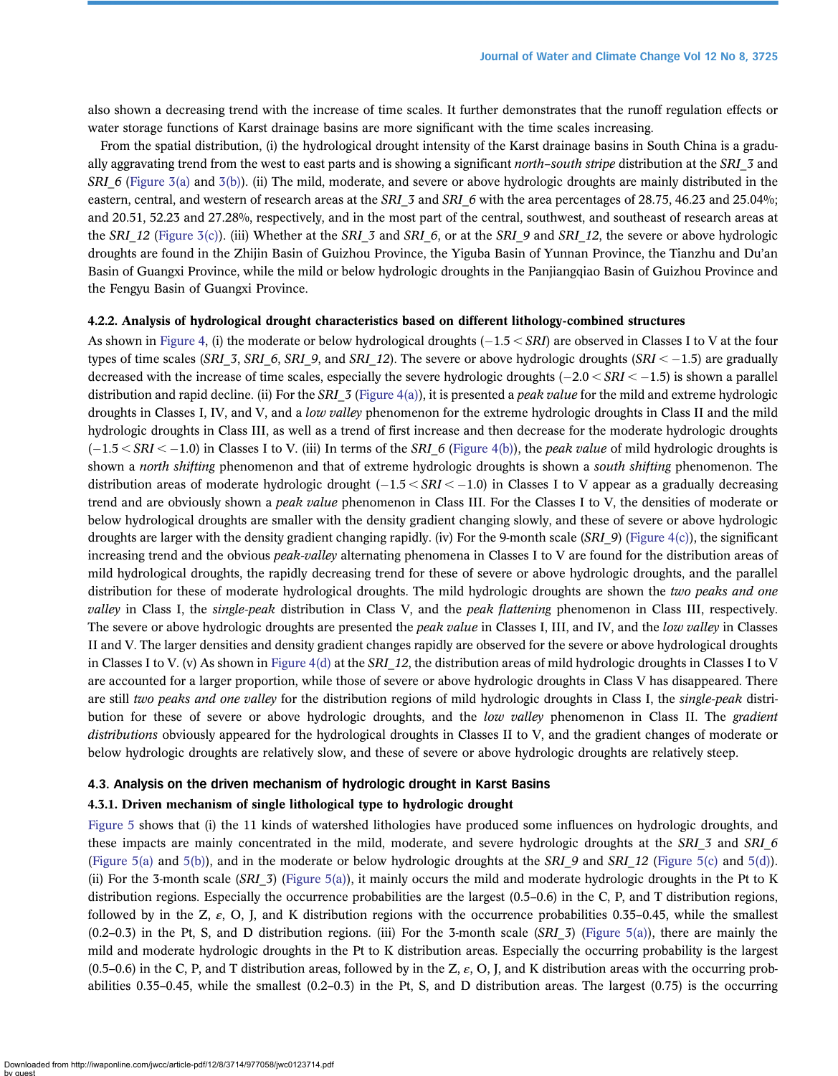also shown a decreasing trend with the increase of time scales. It further demonstrates that the runoff regulation effects or water storage functions of Karst drainage basins are more significant with the time scales increasing.

From the spatial distribution, (i) the hydrological drought intensity of the Karst drainage basins in South China is a gradually aggravating trend from the west to east parts and is showing a significant *north–south stripe* distribution at the SRI 3 and SRI 6 [\(Figure 3\(a\)](#page-10-0) and [3\(b\)](#page-10-0)). (ii) The mild, moderate, and severe or above hydrologic droughts are mainly distributed in the eastern, central, and western of research areas at the SRI 3 and SRI 6 with the area percentages of 28.75, 46.23 and 25.04%; and 20.51, 52.23 and 27.28%, respectively, and in the most part of the central, southwest, and southeast of research areas at the SRI 12 ([Figure 3\(c\)](#page-10-0)). (iii) Whether at the SRI 3 and SRI 6, or at the SRI 9 and SRI 12, the severe or above hydrologic droughts are found in the Zhijin Basin of Guizhou Province, the Yiguba Basin of Yunnan Province, the Tianzhu and Du'an Basin of Guangxi Province, while the mild or below hydrologic droughts in the Panjiangqiao Basin of Guizhou Province and the Fengyu Basin of Guangxi Province.

# 4.2.2. Analysis of hydrological drought characteristics based on different lithology-combined structures

As shown in [Figure 4](#page-12-0), (i) the moderate or below hydrological droughts  $(-1.5 < SRI)$  are observed in Classes I to V at the four types of time scales (SRL\_3, SRL\_6, SRL\_9, and SRL\_12). The severe or above hydrologic droughts (SRI  $<-1.5$ ) are gradually decreased with the increase of time scales, especially the severe hydrologic droughts  $(-2.0 < SNI < -1.5)$  is shown a parallel distribution and rapid decline. (ii) For the SRI  $\bar{3}$  [\(Figure 4\(a\)\)](#page-12-0), it is presented a *peak value* for the mild and extreme hydrologic droughts in Classes I, IV, and V, and a low valley phenomenon for the extreme hydrologic droughts in Class II and the mild hydrologic droughts in Class III, as well as a trend of first increase and then decrease for the moderate hydrologic droughts  $(-1.5 < SN < -1.0)$  in Classes I to V. (iii) In terms of the SRI\_6 [\(Figure 4\(b\)\)](#page-12-0), the *peak value* of mild hydrologic droughts is shown a *north shifting* phenomenon and that of extreme hydrologic droughts is shown a *south shifting* phenomenon. The distribution areas of moderate hydrologic drought  $(-1.5 \leq SRI \leq -1.0)$  in Classes I to V appear as a gradually decreasing trend and are obviously shown a *peak value* phenomenon in Class III. For the Classes I to V, the densities of moderate or below hydrological droughts are smaller with the density gradient changing slowly, and these of severe or above hydrologic droughts are larger with the density gradient changing rapidly. (iv) For the 9-month scale  $(SRI9)$  [\(Figure 4\(c\)\)](#page-12-0), the significant increasing trend and the obvious *peak-valley* alternating phenomena in Classes I to V are found for the distribution areas of mild hydrological droughts, the rapidly decreasing trend for these of severe or above hydrologic droughts, and the parallel distribution for these of moderate hydrological droughts. The mild hydrologic droughts are shown the two peaks and one valley in Class I, the *single-peak* distribution in Class V, and the *peak flattening* phenomenon in Class III, respectively. The severe or above hydrologic droughts are presented the *peak value* in Classes I, III, and IV, and the *low valley* in Classes II and V. The larger densities and density gradient changes rapidly are observed for the severe or above hydrological droughts in Classes I to V. (v) As shown in [Figure 4\(d\)](#page-12-0) at the SRI 12, the distribution areas of mild hydrologic droughts in Classes I to V are accounted for a larger proportion, while those of severe or above hydrologic droughts in Class V has disappeared. There are still two peaks and one valley for the distribution regions of mild hydrologic droughts in Class I, the single-peak distribution for these of severe or above hydrologic droughts, and the low valley phenomenon in Class II. The gradient distributions obviously appeared for the hydrological droughts in Classes II to V, and the gradient changes of moderate or below hydrologic droughts are relatively slow, and these of severe or above hydrologic droughts are relatively steep.

# 4.3. Analysis on the driven mechanism of hydrologic drought in Karst Basins

# 4.3.1. Driven mechanism of single lithological type to hydrologic drought

[Figure 5](#page-13-0) shows that (i) the 11 kinds of watershed lithologies have produced some influences on hydrologic droughts, and these impacts are mainly concentrated in the mild, moderate, and severe hydrologic droughts at the SRI 3 and SRI 6 [\(Figure 5\(a\)](#page-13-0) and [5\(b\)\)](#page-13-0), and in the moderate or below hydrologic droughts at the SRI 9 and SRI 12 [\(Figure 5\(c\)](#page-13-0) and [5\(d\)\)](#page-13-0). (ii) For the 3-month scale (SRI 3) ([Figure 5\(a\)](#page-13-0)), it mainly occurs the mild and moderate hydrologic droughts in the Pt to K distribution regions. Especially the occurrence probabilities are the largest (0.5–0.6) in the C, P, and T distribution regions, followed by in the Z,  $\varepsilon$ , O, J, and K distribution regions with the occurrence probabilities 0.35–0.45, while the smallest  $(0.2-0.3)$  in the Pt, S, and D distribution regions. (iii) For the 3-month scale (SRI 3) ([Figure 5\(a\)](#page-13-0)), there are mainly the mild and moderate hydrologic droughts in the Pt to K distribution areas. Especially the occurring probability is the largest  $(0.5-0.6)$  in the C, P, and T distribution areas, followed by in the Z,  $\varepsilon$ , O, J, and K distribution areas with the occurring probabilities 0.35–0.45, while the smallest (0.2–0.3) in the Pt, S, and D distribution areas. The largest (0.75) is the occurring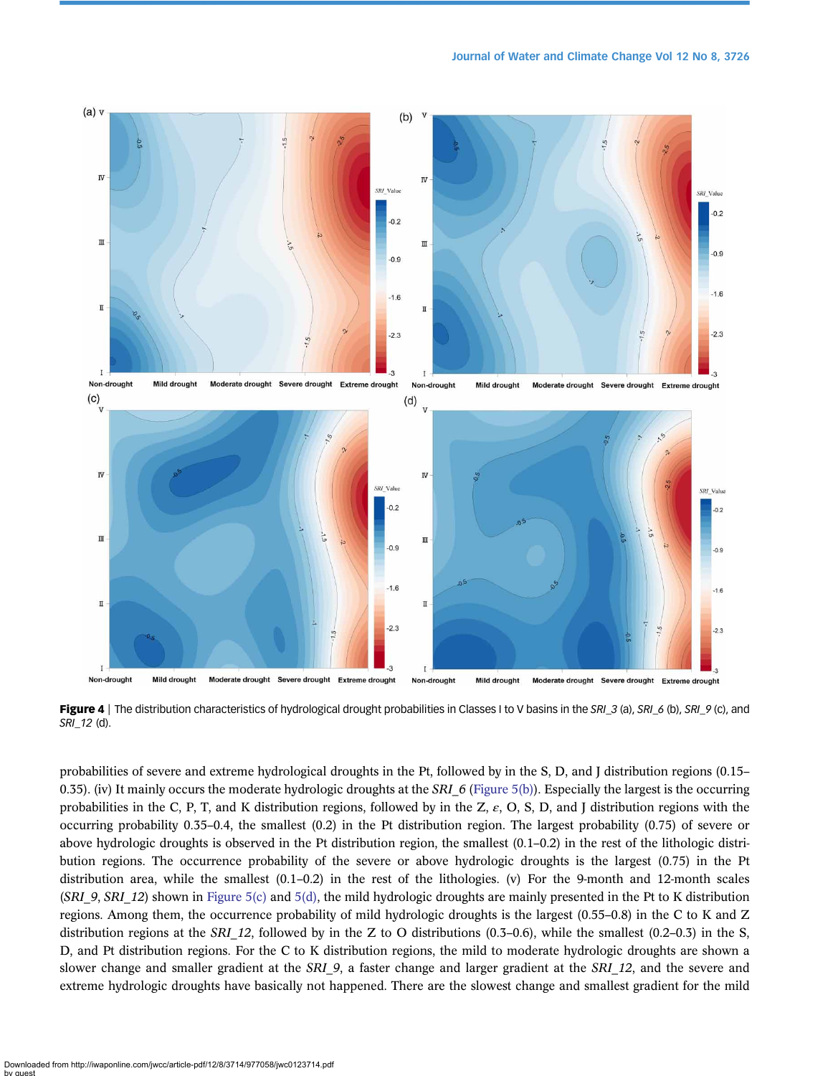<span id="page-12-0"></span>

Figure 4 | The distribution characteristics of hydrological drought probabilities in Classes I to V basins in the SRI\_3 (a), SRI\_6 (b), SRI\_9 (c), and SRI\_12 (d).

probabilities of severe and extreme hydrological droughts in the Pt, followed by in the S, D, and J distribution regions (0.15– 0.35). (iv) It mainly occurs the moderate hydrologic droughts at the SRI  $6$  [\(Figure 5\(b\)](#page-13-0)). Especially the largest is the occurring probabilities in the C, P, T, and K distribution regions, followed by in the Z,  $\varepsilon$ , O, S, D, and J distribution regions with the occurring probability 0.35–0.4, the smallest (0.2) in the Pt distribution region. The largest probability (0.75) of severe or above hydrologic droughts is observed in the Pt distribution region, the smallest (0.1–0.2) in the rest of the lithologic distribution regions. The occurrence probability of the severe or above hydrologic droughts is the largest (0.75) in the Pt distribution area, while the smallest (0.1–0.2) in the rest of the lithologies. (v) For the 9-month and 12-month scales  $(SRI_9, SRI_12)$  shown in [Figure 5\(c\)](#page-13-0) and [5\(d\),](#page-13-0) the mild hydrologic droughts are mainly presented in the Pt to K distribution regions. Among them, the occurrence probability of mild hydrologic droughts is the largest (0.55–0.8) in the C to K and Z distribution regions at the SRI 12, followed by in the Z to O distributions (0.3–0.6), while the smallest (0.2–0.3) in the S, D, and Pt distribution regions. For the C to K distribution regions, the mild to moderate hydrologic droughts are shown a slower change and smaller gradient at the SRI 9, a faster change and larger gradient at the SRI 12, and the severe and extreme hydrologic droughts have basically not happened. There are the slowest change and smallest gradient for the mild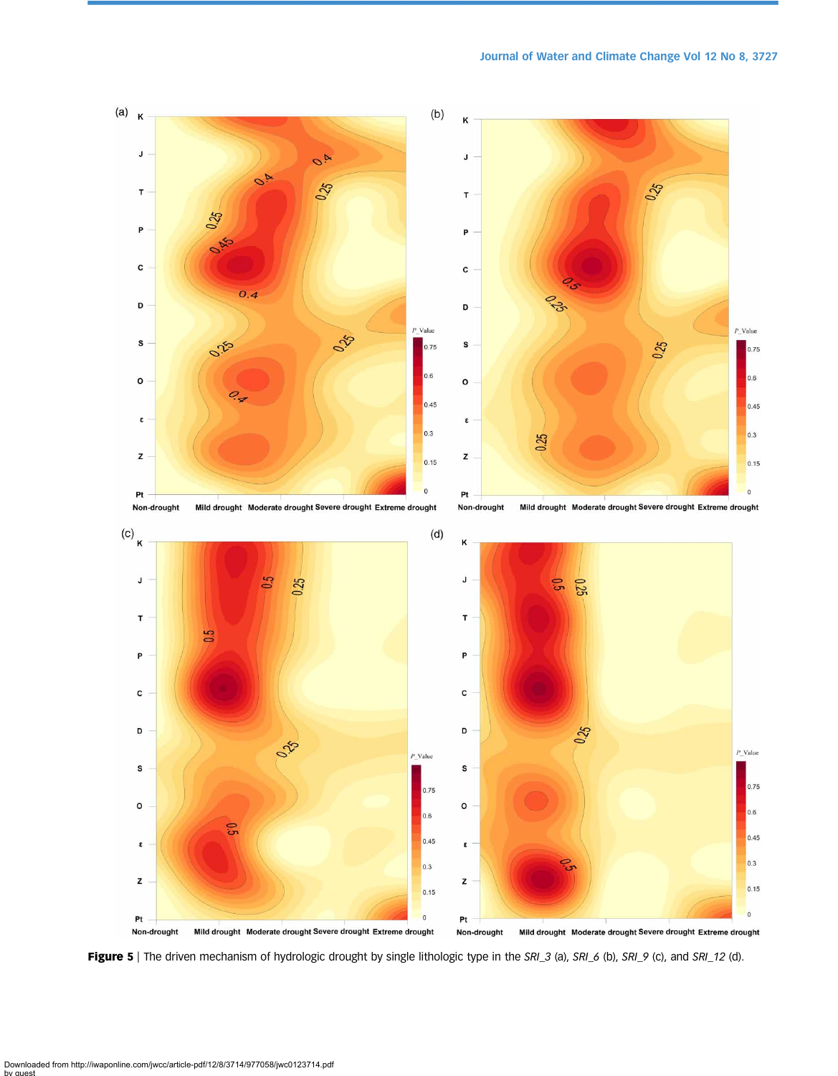# Journal of Water and Climate Change Vol 12 No 8, 3727

<span id="page-13-0"></span>

Figure 5 | The driven mechanism of hydrologic drought by single lithologic type in the SRI\_3 (a), SRI\_6 (b), SRI\_9 (c), and SRI\_12 (d).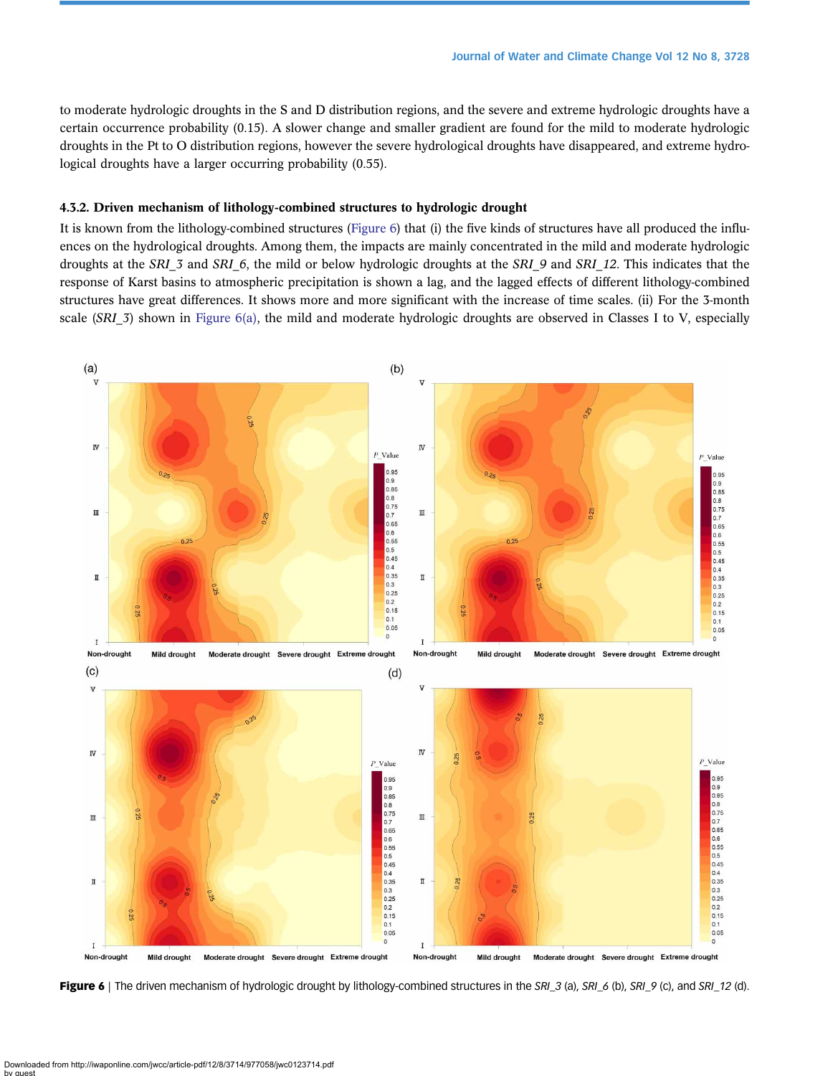<span id="page-14-0"></span>to moderate hydrologic droughts in the S and D distribution regions, and the severe and extreme hydrologic droughts have a certain occurrence probability (0.15). A slower change and smaller gradient are found for the mild to moderate hydrologic droughts in the Pt to O distribution regions, however the severe hydrological droughts have disappeared, and extreme hydrological droughts have a larger occurring probability (0.55).

# 4.3.2. Driven mechanism of lithology-combined structures to hydrologic drought

It is known from the lithology-combined structures (Figure 6) that (i) the five kinds of structures have all produced the influences on the hydrological droughts. Among them, the impacts are mainly concentrated in the mild and moderate hydrologic droughts at the SRI 3 and SRI 6, the mild or below hydrologic droughts at the SRI 9 and SRI 12. This indicates that the response of Karst basins to atmospheric precipitation is shown a lag, and the lagged effects of different lithology-combined structures have great differences. It shows more and more significant with the increase of time scales. (ii) For the 3-month scale (SRI 3) shown in Figure 6(a), the mild and moderate hydrologic droughts are observed in Classes I to V, especially



Figure 6 | The driven mechanism of hydrologic drought by lithology-combined structures in the SRI\_3 (a), SRI\_6 (b), SRI\_9 (c), and SRI\_12 (d).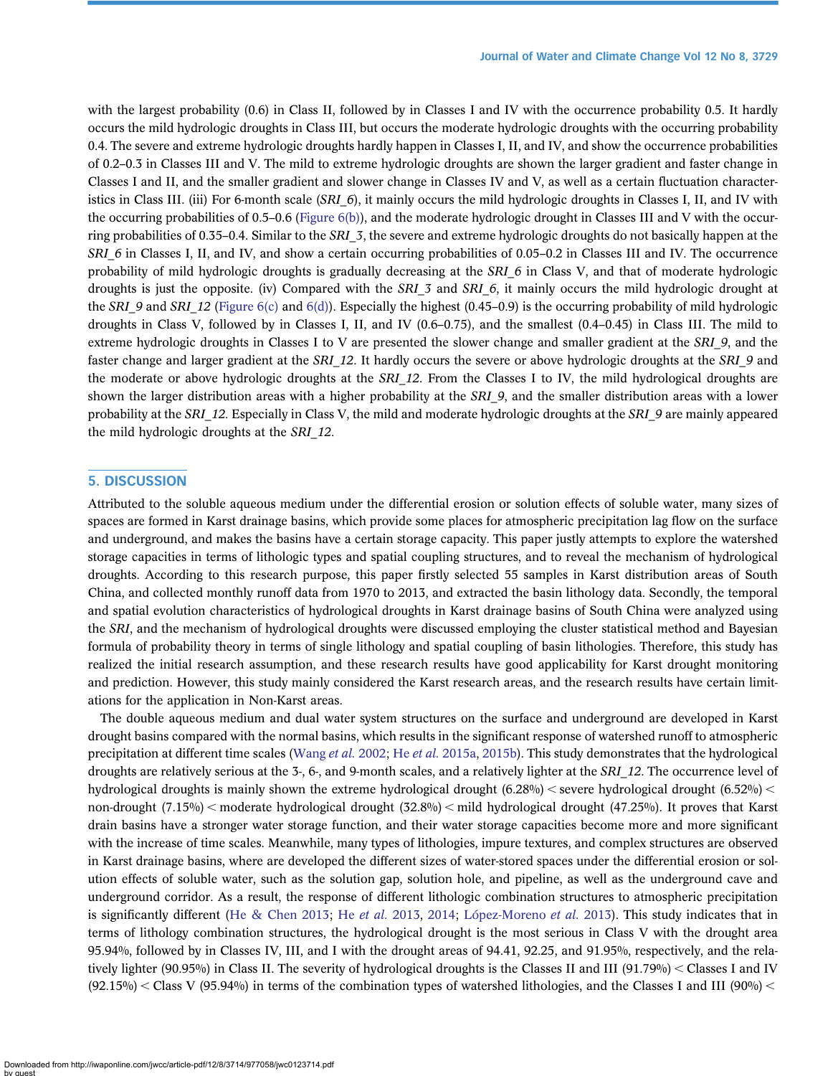with the largest probability (0.6) in Class II, followed by in Classes I and IV with the occurrence probability 0.5. It hardly occurs the mild hydrologic droughts in Class III, but occurs the moderate hydrologic droughts with the occurring probability 0.4. The severe and extreme hydrologic droughts hardly happen in Classes I, II, and IV, and show the occurrence probabilities of 0.2–0.3 in Classes III and V. The mild to extreme hydrologic droughts are shown the larger gradient and faster change in Classes I and II, and the smaller gradient and slower change in Classes IV and V, as well as a certain fluctuation characteristics in Class III. (iii) For 6-month scale (SRI  $6$ ), it mainly occurs the mild hydrologic droughts in Classes I, II, and IV with the occurring probabilities of 0.5–0.6 ([Figure 6\(b\)\)](#page-14-0), and the moderate hydrologic drought in Classes III and V with the occurring probabilities of 0.35–0.4. Similar to the SRI  $\,$  3, the severe and extreme hydrologic droughts do not basically happen at the SRI 6 in Classes I, II, and IV, and show a certain occurring probabilities of 0.05–0.2 in Classes III and IV. The occurrence probability of mild hydrologic droughts is gradually decreasing at the SRI  $6$  in Class V, and that of moderate hydrologic droughts is just the opposite. (iv) Compared with the SRI\_3 and SRI\_6, it mainly occurs the mild hydrologic drought at the SRI\_9 and SRI\_12 ([Figure 6\(c\)](#page-14-0) and [6\(d\)](#page-14-0)). Especially the highest (0.45–0.9) is the occurring probability of mild hydrologic droughts in Class V, followed by in Classes I, II, and IV (0.6–0.75), and the smallest (0.4–0.45) in Class III. The mild to extreme hydrologic droughts in Classes I to V are presented the slower change and smaller gradient at the SRI\_9, and the faster change and larger gradient at the SRI 12. It hardly occurs the severe or above hydrologic droughts at the SRI 9 and the moderate or above hydrologic droughts at the SRI 12. From the Classes I to IV, the mild hydrological droughts are shown the larger distribution areas with a higher probability at the SRI 9, and the smaller distribution areas with a lower probability at the SRI\_12. Especially in Class V, the mild and moderate hydrologic droughts at the SRI\_9 are mainly appeared the mild hydrologic droughts at the SRI\_12.

# 5. DISCUSSION

Attributed to the soluble aqueous medium under the differential erosion or solution effects of soluble water, many sizes of spaces are formed in Karst drainage basins, which provide some places for atmospheric precipitation lag flow on the surface and underground, and makes the basins have a certain storage capacity. This paper justly attempts to explore the watershed storage capacities in terms of lithologic types and spatial coupling structures, and to reveal the mechanism of hydrological droughts. According to this research purpose, this paper firstly selected 55 samples in Karst distribution areas of South China, and collected monthly runoff data from 1970 to 2013, and extracted the basin lithology data. Secondly, the temporal and spatial evolution characteristics of hydrological droughts in Karst drainage basins of South China were analyzed using the SRI, and the mechanism of hydrological droughts were discussed employing the cluster statistical method and Bayesian formula of probability theory in terms of single lithology and spatial coupling of basin lithologies. Therefore, this study has realized the initial research assumption, and these research results have good applicability for Karst drought monitoring and prediction. However, this study mainly considered the Karst research areas, and the research results have certain limitations for the application in Non-Karst areas.

The double aqueous medium and dual water system structures on the surface and underground are developed in Karst drought basins compared with the normal basins, which results in the significant response of watershed runoff to atmospheric precipitation at different time scales [\(Wang](#page-19-0) *et al.* 2002; He *et al.* [2015a,](#page-17-0) [2015b\)](#page-18-0). This study demonstrates that the hydrological droughts are relatively serious at the 3-, 6-, and 9-month scales, and a relatively lighter at the SRI\_12. The occurrence level of hydrological droughts is mainly shown the extreme hydrological drought  $(6.28\%)$  < severe hydrological drought  $(6.52\%)$  < non-drought  $(7.15\%)$  moderate hydrological drought  $(32.8\%)$  mild hydrological drought  $(47.25\%)$ . It proves that Karst drain basins have a stronger water storage function, and their water storage capacities become more and more significant with the increase of time scales. Meanwhile, many types of lithologies, impure textures, and complex structures are observed in Karst drainage basins, where are developed the different sizes of water-stored spaces under the differential erosion or solution effects of soluble water, such as the solution gap, solution hole, and pipeline, as well as the underground cave and underground corridor. As a result, the response of different lithologic combination structures to atmospheric precipitation is significantly different ([He & Chen 2013;](#page-17-0) He [et al.](#page-17-0) 2013, [2014](#page-17-0); [López-Moreno](#page-18-0) et al. 2013). This study indicates that in terms of lithology combination structures, the hydrological drought is the most serious in Class V with the drought area 95.94%, followed by in Classes IV, III, and I with the drought areas of 94.41, 92.25, and 91.95%, respectively, and the relatively lighter (90.95%) in Class II. The severity of hydrological droughts is the Classes II and III (91.79%) < Classes I and IV  $(92.15\%) <$  Class V  $(95.94\%)$  in terms of the combination types of watershed lithologies, and the Classes I and III (90%)  $<$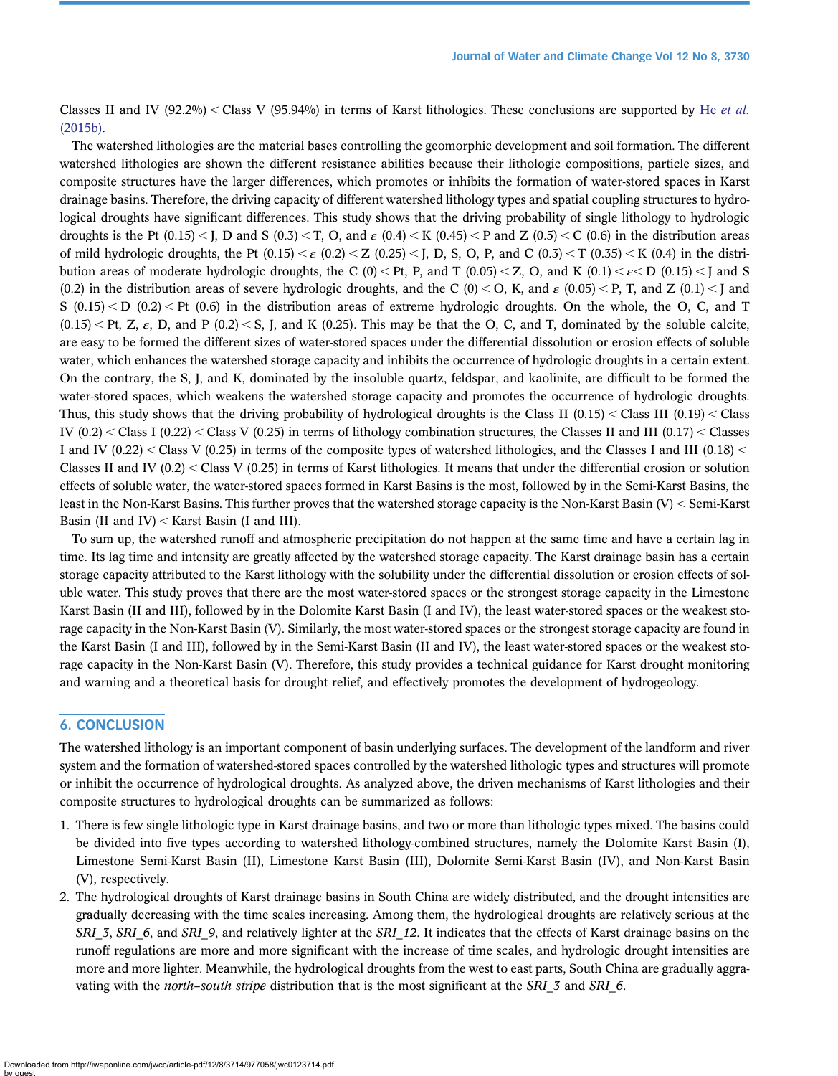Classes II and IV (92.2%) < Class V (95.94%) in terms of Karst lithologies. These conclusions are supported by He [et al.](#page-18-0) [\(2015b\)](#page-18-0).

The watershed lithologies are the material bases controlling the geomorphic development and soil formation. The different watershed lithologies are shown the different resistance abilities because their lithologic compositions, particle sizes, and composite structures have the larger differences, which promotes or inhibits the formation of water-stored spaces in Karst drainage basins. Therefore, the driving capacity of different watershed lithology types and spatial coupling structures to hydrological droughts have significant differences. This study shows that the driving probability of single lithology to hydrologic droughts is the Pt  $(0.15)$  < J, D and S  $(0.3)$  < T, O, and  $\varepsilon$   $(0.4)$  < K  $(0.45)$  < P and Z  $(0.5)$  < C  $(0.6)$  in the distribution areas of mild hydrologic droughts, the Pt  $(0.15) < \varepsilon$   $(0.2) < Z$   $(0.25) < I$ , D, S, O, P, and C  $(0.3) < T$   $(0.35) < K$   $(0.4)$  in the distribution areas of moderate hydrologic droughts, the C (0) < Pt, P, and T (0.05) < Z, O, and K (0.1) <  $\varepsilon$  < D (0.15) < J and S (0.2) in the distribution areas of severe hydrologic droughts, and the C (0) < O, K, and  $\varepsilon$  (0.05) < P, T, and Z (0.1) < J and  $S(0.15) < D(0.2) <$  Pt (0.6) in the distribution areas of extreme hydrologic droughts. On the whole, the O, C, and T  $(0.15)$  < Pt, Z,  $\varepsilon$ , D, and P (0.2) < S, J, and K (0.25). This may be that the O, C, and T, dominated by the soluble calcite, are easy to be formed the different sizes of water-stored spaces under the differential dissolution or erosion effects of soluble water, which enhances the watershed storage capacity and inhibits the occurrence of hydrologic droughts in a certain extent. On the contrary, the S, J, and K, dominated by the insoluble quartz, feldspar, and kaolinite, are difficult to be formed the water-stored spaces, which weakens the watershed storage capacity and promotes the occurrence of hydrologic droughts. Thus, this study shows that the driving probability of hydrological droughts is the Class II (0.15) < Class III (0.19) < Class IV  $(0.2)$  < Class I  $(0.22)$  < Class V  $(0.25)$  in terms of lithology combination structures, the Classes II and III  $(0.17)$  < Classes I and IV (0.22) < Class V (0.25) in terms of the composite types of watershed lithologies, and the Classes I and III (0.18) < Classes II and IV  $(0.2)$  < Class V  $(0.25)$  in terms of Karst lithologies. It means that under the differential erosion or solution effects of soluble water, the water-stored spaces formed in Karst Basins is the most, followed by in the Semi-Karst Basins, the least in the Non-Karst Basins. This further proves that the watershed storage capacity is the Non-Karst Basin  $(V)$  < Semi-Karst Basin (II and IV) < Karst Basin (I and III).

To sum up, the watershed runoff and atmospheric precipitation do not happen at the same time and have a certain lag in time. Its lag time and intensity are greatly affected by the watershed storage capacity. The Karst drainage basin has a certain storage capacity attributed to the Karst lithology with the solubility under the differential dissolution or erosion effects of soluble water. This study proves that there are the most water-stored spaces or the strongest storage capacity in the Limestone Karst Basin (II and III), followed by in the Dolomite Karst Basin (I and IV), the least water-stored spaces or the weakest storage capacity in the Non-Karst Basin (V). Similarly, the most water-stored spaces or the strongest storage capacity are found in the Karst Basin (I and III), followed by in the Semi-Karst Basin (II and IV), the least water-stored spaces or the weakest storage capacity in the Non-Karst Basin (V). Therefore, this study provides a technical guidance for Karst drought monitoring and warning and a theoretical basis for drought relief, and effectively promotes the development of hydrogeology.

# 6. CONCLUSION

The watershed lithology is an important component of basin underlying surfaces. The development of the landform and river system and the formation of watershed-stored spaces controlled by the watershed lithologic types and structures will promote or inhibit the occurrence of hydrological droughts. As analyzed above, the driven mechanisms of Karst lithologies and their composite structures to hydrological droughts can be summarized as follows:

- 1. There is few single lithologic type in Karst drainage basins, and two or more than lithologic types mixed. The basins could be divided into five types according to watershed lithology-combined structures, namely the Dolomite Karst Basin (I), Limestone Semi-Karst Basin (II), Limestone Karst Basin (III), Dolomite Semi-Karst Basin (IV), and Non-Karst Basin (V), respectively.
- 2. The hydrological droughts of Karst drainage basins in South China are widely distributed, and the drought intensities are gradually decreasing with the time scales increasing. Among them, the hydrological droughts are relatively serious at the SRI\_3, SRI\_6, and SRI\_9, and relatively lighter at the SRI\_12. It indicates that the effects of Karst drainage basins on the runoff regulations are more and more significant with the increase of time scales, and hydrologic drought intensities are more and more lighter. Meanwhile, the hydrological droughts from the west to east parts, South China are gradually aggravating with the north–south stripe distribution that is the most significant at the SRI\_3 and SRI\_6.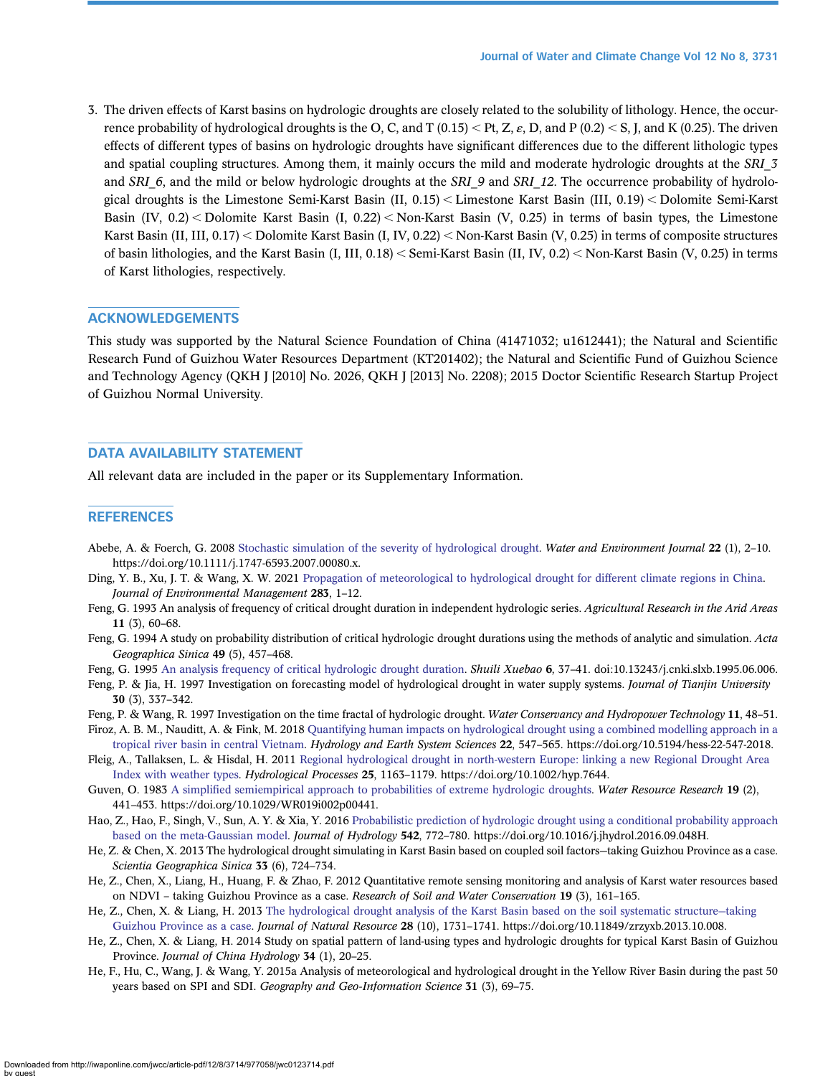<span id="page-17-0"></span>3. The driven effects of Karst basins on hydrologic droughts are closely related to the solubility of lithology. Hence, the occurrence probability of hydrological droughts is the O, C, and T  $(0.15) < Pt$ , Z,  $\varepsilon$ , D, and P  $(0.2) < S$ , J, and K  $(0.25)$ . The driven effects of different types of basins on hydrologic droughts have significant differences due to the different lithologic types and spatial coupling structures. Among them, it mainly occurs the mild and moderate hydrologic droughts at the SRI 3 and SRI  $6$ , and the mild or below hydrologic droughts at the SRI 9 and SRI 12. The occurrence probability of hydrological droughts is the Limestone Semi-Karst Basin  $(II, 0.15)$  < Limestone Karst Basin  $(III, 0.19)$  < Dolomite Semi-Karst Basin (IV,  $0.2$ ) < Dolomite Karst Basin (I,  $0.22$ ) < Non-Karst Basin (V, 0.25) in terms of basin types, the Limestone Karst Basin (II, III,  $0.17$ ) < Dolomite Karst Basin (I, IV,  $0.22$ ) < Non-Karst Basin (V,  $0.25$ ) in terms of composite structures of basin lithologies, and the Karst Basin  $(I, III, 0.18) <$  Semi-Karst Basin  $(II, IV, 0.2) <$  Non-Karst Basin  $(V, 0.25)$  in terms of Karst lithologies, respectively.

# ACKNOWLEDGEMENTS

This study was supported by the Natural Science Foundation of China (41471032; u1612441); the Natural and Scientific Research Fund of Guizhou Water Resources Department (KT201402); the Natural and Scientific Fund of Guizhou Science and Technology Agency (QKH J [2010] No. 2026, QKH J [2013] No. 2208); 2015 Doctor Scientific Research Startup Project of Guizhou Normal University.

# DATA AVAILABILITY STATEMENT

All relevant data are included in the paper or its Supplementary Information.

## **REFERENCES**

- Abebe, A. & Foerch, G. 2008 [Stochastic simulation of the severity of hydrological drought](http://dx.doi.org/10.1111/j.1747-6593.2007.00080.x). Water and Environment Journal 22 (1), 2-10. https://doi.org/10.1111/j.1747-6593.2007.00080.x.
- Ding, Y. B., Xu, J. T. & Wang, X. W. 2021 [Propagation of meteorological to hydrological drought for different climate regions in China.](http://dx.doi.org/10.1016/j.jenvman.2021.111980) Journal of Environmental Management 283, 1–12.
- Feng, G. 1993 An analysis of frequency of critical drought duration in independent hydrologic series. Agricultural Research in the Arid Areas 11 (3), 60–68.
- Feng, G. 1994 A study on probability distribution of critical hydrologic drought durations using the methods of analytic and simulation. Acta Geographica Sinica 49 (5), 457–468.
- Feng, G. 1995 [An analysis frequency of critical hydrologic drought duration.](http://dx.doi.org/10.13243/j.cnki.slxb.1995.06.006) Shuili Xuebao 6, 37-41. doi:10.13243/j.cnki.slxb.1995.06.006.
- Feng, P. & Jia, H. 1997 Investigation on forecasting model of hydrological drought in water supply systems. Journal of Tianjin University 30 (3), 337–342.
- Feng, P. & Wang, R. 1997 Investigation on the time fractal of hydrologic drought. Water Conservancy and Hydropower Technology 11, 48–51.
- Firoz, A. B. M., Nauditt, A. & Fink, M. 2018 [Quantifying human impacts on hydrological drought using a combined modelling approach in a](http://dx.doi.org/10.5194/hess-22-547-2018) [tropical river basin in central Vietnam](http://dx.doi.org/10.5194/hess-22-547-2018). Hydrology and Earth System Sciences 22, 547–565. https://doi.org/10.5194/hess-22-547-2018.
- Fleig, A., Tallaksen, L. & Hisdal, H. 2011 [Regional hydrological drought in north-western Europe: linking a new Regional Drought Area](http://dx.doi.org/10.1002/hyp.7644) [Index with weather types.](http://dx.doi.org/10.1002/hyp.7644) Hydrological Processes 25, 1163–1179. https://doi.org/10.1002/hyp.7644.
- Guven, O. 1983 A simplifi[ed semiempirical approach to probabilities of extreme hydrologic droughts](http://dx.doi.org/10.1029/WR019i002p00441). Water Resource Research 19 (2), 441–453. https://doi.org/10.1029/WR019i002p00441.
- Hao, Z., Hao, F., Singh, V., Sun, A. Y. & Xia, Y. 2016 [Probabilistic prediction of hydrologic drought using a conditional probability approach](http://dx.doi.org/10.1016/j.jhydrol.2016.09.048) [based on the meta-Gaussian model](http://dx.doi.org/10.1016/j.jhydrol.2016.09.048). Journal of Hydrology 542, 772–780. https://doi.org/10.1016/j.jhydrol.2016.09.048H.
- He, Z. & Chen, X. 2013 The hydrological drought simulating in Karst Basin based on coupled soil factors—taking Guizhou Province as a case. Scientia Geographica Sinica 33 (6), 724–734.
- He, Z., Chen, X., Liang, H., Huang, F. & Zhao, F. 2012 Quantitative remote sensing monitoring and analysis of Karst water resources based on NDVI – taking Guizhou Province as a case. Research of Soil and Water Conservation 19 (3), 161-165.
- He, Z., Chen, X. & Liang, H. 2013 [The hydrological drought analysis of the Karst Basin based on the soil systematic structure](http://dx.doi.org/10.11849/zrzyxb.2013.10.008)—taking [Guizhou Province as a case.](http://dx.doi.org/10.11849/zrzyxb.2013.10.008) Journal of Natural Resource 28 (10), 1731–1741. https://doi.org/10.11849/zrzyxb.2013.10.008.
- He, Z., Chen, X. & Liang, H. 2014 Study on spatial pattern of land-using types and hydrologic droughts for typical Karst Basin of Guizhou Province. Journal of China Hydrology 34 (1), 20–25.
- He, F., Hu, C., Wang, J. & Wang, Y. 2015a Analysis of meteorological and hydrological drought in the Yellow River Basin during the past 50 years based on SPI and SDI. Geography and Geo-Information Science 31 (3), 69-75.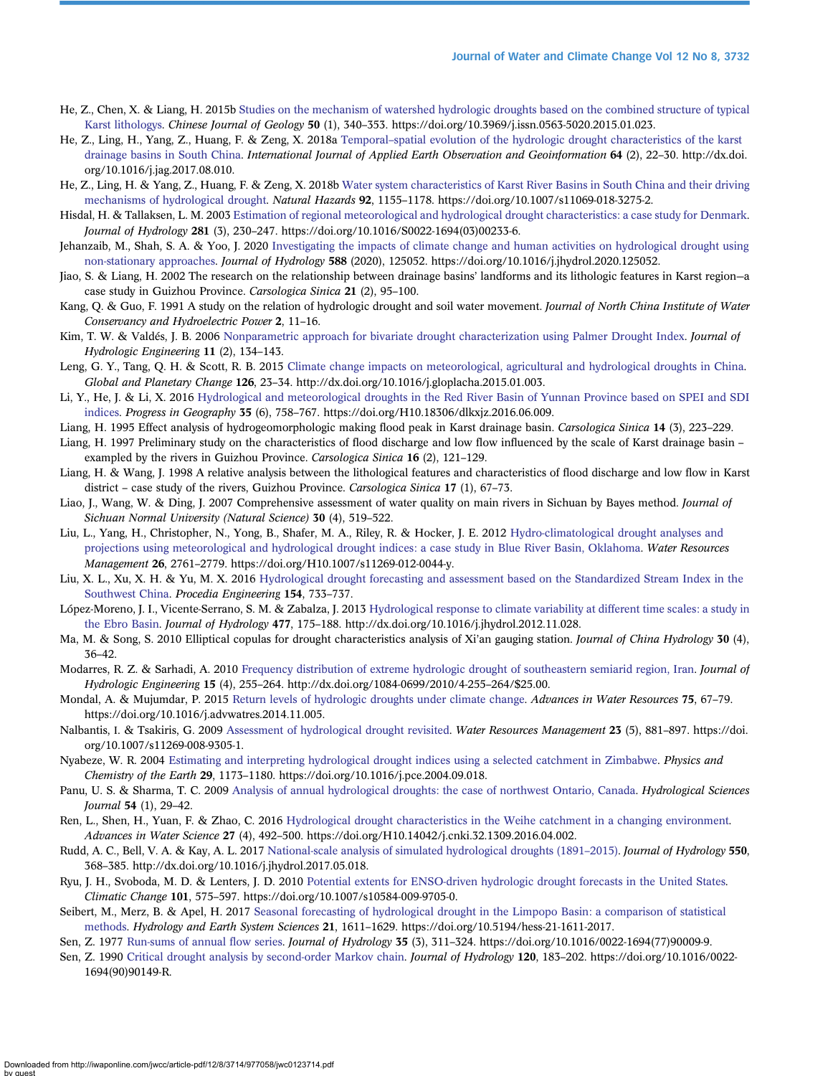- <span id="page-18-0"></span>He, Z., Chen, X. & Liang, H. 2015b [Studies on the mechanism of watershed hydrologic droughts based on the combined structure of typical](http://dx.doi.org/10.3969/j.issn.0563-5020.2015.01.023) [Karst lithologys.](http://dx.doi.org/10.3969/j.issn.0563-5020.2015.01.023) Chinese Journal of Geology 50 (1), 340–353. https://doi.org/10.3969/j.issn.0563-5020.2015.01.023.
- He, Z., Ling, H., Yang, Z., Huang, F. & Zeng, X. 2018a Temporal–[spatial evolution of the hydrologic drought characteristics of the karst](http://dx.doi.org/10.1016/j.jag.2017.08.010) [drainage basins in South China](http://dx.doi.org/10.1016/j.jag.2017.08.010). International Journal of Applied Earth Observation and Geoinformation 64 (2), 22–30. http://dx.doi. org/10.1016/j.jag.2017.08.010.
- He, Z., Ling, H. & Yang, Z., Huang, F. & Zeng, X. 2018b [Water system characteristics of Karst River Basins in South China and their driving](http://dx.doi.org/10.1007/s11069-018-3275-2) [mechanisms of hydrological drought.](http://dx.doi.org/10.1007/s11069-018-3275-2) Natural Hazards 92, 1155-1178. https://doi.org/10.1007/s11069-018-3275-2.
- Hisdal, H. & Tallaksen, L. M. 2003 [Estimation of regional meteorological and hydrological drought characteristics: a case study for Denmark](http://dx.doi.org/10.1016/S0022-1694(03)00233-6). Journal of Hydrology 281 (3), 230–247. https://doi.org/10.1016/S0022-1694(03)00233-6.
- Jehanzaib, M., Shah, S. A. & Yoo, J. 2020 [Investigating the impacts of climate change and human activities on hydrological drought using](http://dx.doi.org/10.1016/j.jhydrol.2020.125052) [non-stationary approaches.](http://dx.doi.org/10.1016/j.jhydrol.2020.125052) Journal of Hydrology 588 (2020), 125052. https://doi.org/10.1016/j.jhydrol.2020.125052.
- Jiao, S. & Liang, H. 2002 The research on the relationship between drainage basins' landforms and its lithologic features in Karst region—a case study in Guizhou Province. Carsologica Sinica 21 (2), 95–100.
- Kang, Q. & Guo, F. 1991 A study on the relation of hydrologic drought and soil water movement. Journal of North China Institute of Water Conservancy and Hydroelectric Power 2, 11–16.
- Kim, T. W. & Valdés, J. B. 2006 [Nonparametric approach for bivariate drought characterization using Palmer Drought Index.](http://dx.doi.org/10.1061/(ASCE)1084-0699(2006)11:2(134)) Journal of Hydrologic Engineering 11 (2), 134–143.
- Leng, G. Y., Tang, Q. H. & Scott, R. B. 2015 [Climate change impacts on meteorological, agricultural and hydrological droughts in China](http://dx.doi.org/10.1016/j.gloplacha.2015.01.003). Global and Planetary Change 126, 23–34. http://dx.doi.org/10.1016/j.gloplacha.2015.01.003.
- Li, Y., He, J. & Li, X. 2016 [Hydrological and meteorological droughts in the Red River Basin of Yunnan Province based on SPEI and SDI](http://dx.doi.org/10.18306/dlkxjz.2016.06.009) [indices.](http://dx.doi.org/10.18306/dlkxjz.2016.06.009) Progress in Geography 35 (6), 758–767. https://doi.org/H10.18306/dlkxjz.2016.06.009.
- Liang, H. 1995 Effect analysis of hydrogeomorphologic making flood peak in Karst drainage basin. Carsologica Sinica 14 (3), 223–229.
- Liang, H. 1997 Preliminary study on the characteristics of flood discharge and low flow influenced by the scale of Karst drainage basin exampled by the rivers in Guizhou Province. Carsologica Sinica 16 (2), 121–129.
- Liang, H. & Wang, J. 1998 A relative analysis between the lithological features and characteristics of flood discharge and low flow in Karst district – case study of the rivers, Guizhou Province. Carsologica Sinica 17 (1), 67–73.
- Liao, J., Wang, W. & Ding, J. 2007 Comprehensive assessment of water quality on main rivers in Sichuan by Bayes method. Journal of Sichuan Normal University (Natural Science) 30 (4), 519–522.
- Liu, L., Yang, H., Christopher, N., Yong, B., Shafer, M. A., Riley, R. & Hocker, J. E. 2012 [Hydro-climatological drought analyses and](http://dx.doi.org/10.1007/s11269-012-0044-y) [projections using meteorological and hydrological drought indices: a case study in Blue River Basin, Oklahoma](http://dx.doi.org/10.1007/s11269-012-0044-y). Water Resources Management 26, 2761–2779. https://doi.org/H10.1007/s11269-012-0044-y.
- Liu, X. L., Xu, X. H. & Yu, M. X. 2016 [Hydrological drought forecasting and assessment based on the Standardized Stream Index in the](http://dx.doi.org/10.1016/j.proeng.2016.07.576) [Southwest China](http://dx.doi.org/10.1016/j.proeng.2016.07.576). Procedia Engineering 154, 733–737.
- López-Moreno, J. I., Vicente-Serrano, S. M. & Zabalza, J. 2013 [Hydrological response to climate variability at different time scales: a study in](http://dx.doi.org/10.1016/j.jhydrol.2012.11.028) [the Ebro Basin.](http://dx.doi.org/10.1016/j.jhydrol.2012.11.028) Journal of Hydrology 477, 175–188. http://dx.doi.org/10.1016/j.jhydrol.2012.11.028.
- Ma, M. & Song, S. 2010 Elliptical copulas for drought characteristics analysis of Xi'an gauging station. Journal of China Hydrology 30 (4), 36–42.
- Modarres, R. Z. & Sarhadi, A. 2010 [Frequency distribution of extreme hydrologic drought of southeastern semiarid region, Iran](http://dx.doi.org/10.1061/(ASCE)HE.1943-5584.0000186). Journal of Hydrologic Engineering 15 (4), 255–264. http://dx.doi.org/1084-0699/2010/4-255–264/\$25.00.
- Mondal, A. & Mujumdar, P. 2015 [Return levels of hydrologic droughts under climate change.](http://dx.doi.org/10.1016/j.advwatres.2014.11.005) Advances in Water Resources 75, 67–79. https://doi.org/10.1016/j.advwatres.2014.11.005.
- Nalbantis, Ι. & Tsakiris, G. 2009 [Assessment of hydrological drought revisited.](http://dx.doi.org/10.1007/s11269-008-9305-1) Water Resources Management 23 (5), 881–897. https://doi. org/10.1007/s11269-008-9305-1.
- Nyabeze, W. R. 2004 [Estimating and interpreting hydrological drought indices using a selected catchment in Zimbabwe](http://dx.doi.org/10.1016/j.pce.2004.09.018). Physics and Chemistry of the Earth 29, 1173–1180. https://doi.org/10.1016/j.pce.2004.09.018.
- Panu, U. S. & Sharma, T. C. 2009 [Analysis of annual hydrological droughts: the case of northwest Ontario, Canada](http://dx.doi.org/10.1623/hysj.54.1.29). Hydrological Sciences Journal 54 (1), 29–42.
- Ren, L., Shen, H., Yuan, F. & Zhao, C. 2016 [Hydrological drought characteristics in the Weihe catchment in a changing environment](http://dx.doi.org/H10.14042/j.cnki.32.1309.2016.04.002). Advances in Water Science 27 (4), 492–500. https://doi.org/H10.14042/j.cnki.32.1309.2016.04.002.
- Rudd, A. C., Bell, V. A. & Kay, A. L. 2017 [National-scale analysis of simulated hydrological droughts \(1891](http://dx.doi.org/10.1016/j.jhydrol.2017.05.018)–2015). *Journal of Hydrology* 550, 368–385. http://dx.doi.org/10.1016/j.jhydrol.2017.05.018.
- Ryu, J. H., Svoboda, M. D. & Lenters, J. D. 2010 [Potential extents for ENSO-driven hydrologic drought forecasts in the United States.](http://dx.doi.org/10.1007/s10584-009-9705-0) Climatic Change 101, 575–597. https://doi.org/10.1007/s10584-009-9705-0.
- Seibert, M., Merz, B. & Apel, H. 2017 [Seasonal forecasting of hydrological drought in the Limpopo Basin: a comparison of statistical](http://dx.doi.org/10.5194/hess-21-1611-2017) [methods](http://dx.doi.org/10.5194/hess-21-1611-2017). Hydrology and Earth System Sciences 21, 1611–1629. https://doi.org/10.5194/hess-21-1611-2017.
- Sen, Z. 1977 [Run-sums of annual](http://dx.doi.org/10.1016/0022-1694(77)90009-9) flow series. Journal of Hydrology 35 (3), 311–324. https://doi.org/10.1016/0022-1694(77)90009-9.
- Sen, Z. 1990 [Critical drought analysis by second-order Markov chain](http://dx.doi.org/10.1016/0022-1694(90)90149-R). Journal of Hydrology 120, 183–202. https://doi.org/10.1016/0022- 1694(90)90149-R.

Downloaded from http://iwaponline.com/jwcc/article-pdf/12/8/3714/977058/jwc0123714.pdf by guest